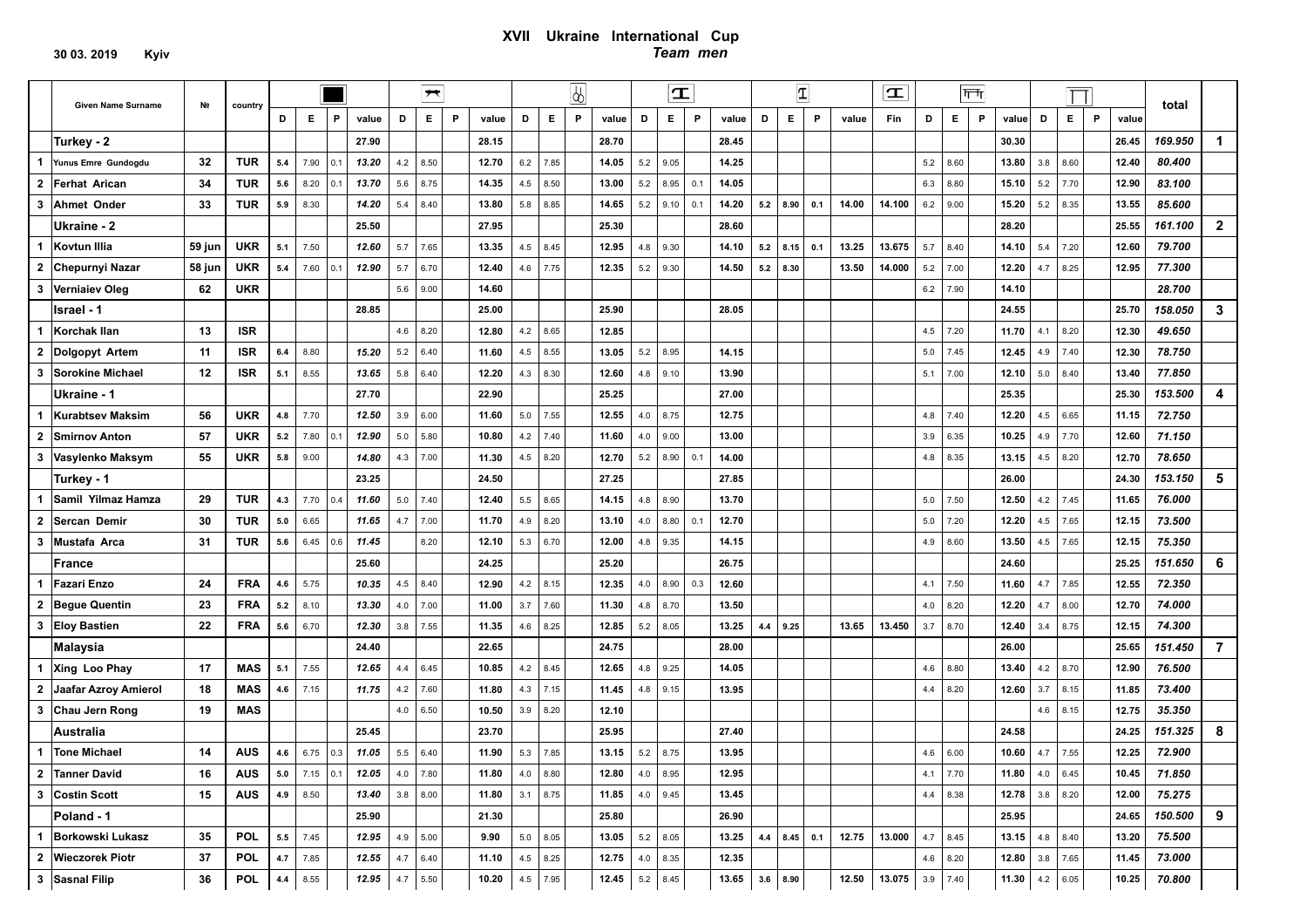### **ХVІІ Ukraine International Cup**  *Team men*

|                         |                             |        |            |     |            |            |                        |          | $\overline{\phantom{a}}$ |   |                       |     |            | $\sqrt{2}$ |                       |            | $\mathbf T$  |     |                          |     | $\vert \mathbf{T} \vert$ |     |       | $ \mathbf{T} $          |     |            | $ \overline{111} $ |                       |     |            |   |       |         |                |
|-------------------------|-----------------------------|--------|------------|-----|------------|------------|------------------------|----------|--------------------------|---|-----------------------|-----|------------|------------|-----------------------|------------|--------------|-----|--------------------------|-----|--------------------------|-----|-------|-------------------------|-----|------------|--------------------|-----------------------|-----|------------|---|-------|---------|----------------|
|                         | Given Name Surname          | Nº     | country    | D   | Е.         | P.         | value                  | D        | Е.                       | P | value                 | D   | Е          | P          | value                 | D          | E.           | P   | value                    | D   | E.                       | P   | value | Fin                     | D   | E.         | P                  | value                 | D   | E.         | P | value | total   |                |
|                         | Turkey - 2                  |        |            |     |            |            | 27.90                  |          |                          |   | 28.15                 |     |            |            | 28.70                 |            |              |     | 28.45                    |     |                          |     |       |                         |     |            |                    | 30.30                 |     |            |   | 26.45 | 169.950 | 1              |
| 1                       | Yunus Emre Gundogdu         | 32     | <b>TUR</b> | 5.4 | 7.90       | 0.1        | 13.20                  | 4.2      | 8.50                     |   | 12.70                 | 6.2 | 7.85       |            | 14.05                 | 5.2        | 9.05         |     | 14.25                    |     |                          |     |       |                         | 5.2 | 8.60       |                    | 13.80                 | 3.8 | 8.60       |   | 12.40 | 80.400  |                |
| $\mathbf{2}$            | <b>Ferhat Arican</b>        | 34     | TUR        | 5.6 | 8.20       | 0.1        | 13.70                  | 5.6      | 8.75                     |   | 14.35                 | 4.5 | 8.50       |            | 13.00                 | 5.2        | 8.95         | 0.1 | 14.05                    |     |                          |     |       |                         | 6.3 | 8.80       |                    | 15.10                 | 5.2 | 7.70       |   | 12.90 | 83.100  |                |
| 3                       | <b>Ahmet Onder</b>          | 33     | TUR        | 5.9 | 8.30       |            | 14.20                  | 5.4      | 8.40                     |   | 13.80                 | 5.8 | 8.85       |            | 14.65                 | 5.2        | 9.10         | 0.1 | 14.20                    | 5.2 | 8.90                     | 0.1 | 14.00 | 14.100                  | 6.2 | 9.00       |                    | 15.20                 | 5.2 | 8.35       |   | 13.55 | 85.600  |                |
|                         | Ukraine - 2                 |        |            |     |            |            | 25.50                  |          |                          |   | 27.95                 |     |            |            | 25.30                 |            |              |     | 28.60                    |     |                          |     |       |                         |     |            |                    | 28.20                 |     |            |   | 25.55 | 161.100 | $\overline{2}$ |
| $\mathbf 1$             | Kovtun Illia                | 59 jun | <b>UKR</b> | 5.1 | 7.50       |            | 12.60                  | 5.7      | 7.65                     |   | 13.35                 | 4.5 | 8.45       |            | 12.95                 | 4.8        | 9.30         |     | 14.10                    | 5.2 | 8.15                     | 0.1 | 13.25 | 13.675                  | 5.7 | 8.40       |                    | 14.10                 | 5.4 | 7.20       |   | 12.60 | 79.700  |                |
| $\overline{\mathbf{2}}$ | <b>Chepurnyi Nazar</b>      | 58 jun | <b>UKR</b> | 5.4 | 7.60       | 0.1        | 12.90                  | 5.7      | 6.70                     |   | 12.40                 | 4.6 | 7.75       |            | 12.35                 | 5.2        | 9.30         |     | 14.50                    | 5.2 | 8.30                     |     | 13.50 | 14.000                  | 5.2 | 7.00       |                    | 12.20                 | 4.7 | 8.25       |   | 12.95 | 77.300  |                |
| 3                       | <b>Vernialev Oleg</b>       | 62     | <b>UKR</b> |     |            |            |                        | 5.6      | 9.00                     |   | 14.60                 |     |            |            |                       |            |              |     |                          |     |                          |     |       |                         | 6.2 | 7.90       |                    | 14.10                 |     |            |   |       | 28.700  |                |
|                         | Israel - 1                  |        |            |     |            |            | 28.85                  |          |                          |   | 25.00                 |     |            |            | 25.90                 |            |              |     | 28.05                    |     |                          |     |       |                         |     |            |                    | 24.55                 |     |            |   | 25.70 | 158.050 | 3              |
| -1                      | Korchak Ilan                | 13     | <b>ISR</b> |     |            |            |                        | 4.6      | 8.20                     |   | 12.80                 | 4.2 | 8.65       |            | 12.85                 |            |              |     |                          |     |                          |     |       |                         | 4.5 | 7.20       |                    | 11.70                 | 4.1 | 8.20       |   | 12.30 | 49.650  |                |
| $\mathbf{2}$            | Dolgopyt Artem              | 11     | <b>ISR</b> | 6.4 | 8.80       |            | 15.20                  | 5.2      | 6.40                     |   | 11.60                 | 4.5 | 8.55       |            | 13.05                 |            | $5.2$   8.95 |     | 14.15                    |     |                          |     |       |                         | 5.0 | 7.45       |                    | 12.45                 | 4.9 | 7.40       |   | 12.30 | 78.750  |                |
| 3                       | <b>Sorokine Michael</b>     | 12     | <b>ISR</b> | 5.1 | 8.55       |            | 13.65                  | 5.8      | 6.40                     |   | 12.20                 | 4.3 | 8.30       |            | 12.60                 | 4.8        | 9.10         |     | 13.90                    |     |                          |     |       |                         | 5.1 | 7.00       |                    | 12.10                 | 5.0 | 8.40       |   | 13.40 | 77.850  |                |
|                         | Ukraine - 1                 |        |            |     |            |            | 27.70                  |          |                          |   | 22.90                 |     |            |            | 25.25                 |            |              |     | 27.00                    |     |                          |     |       |                         |     |            |                    | 25.35                 |     |            |   | 25.30 | 153.500 | 4              |
| -1                      | <b>Kurabtsev Maksim</b>     | 56     | <b>UKR</b> | 4.8 | 7.70       |            | 12.50                  | 3.9      | 6.00                     |   | 11.60                 | 5.0 | 7.55       |            | 12.55                 | 4.0        | 8.75         |     | 12.75                    |     |                          |     |       |                         | 4.8 | 7.40       |                    | 12.20                 | 4.5 | 6.65       |   | 11.15 | 72.750  |                |
| $\overline{2}$          | <b>Smirnov Anton</b>        | 57     | <b>UKR</b> | 5.2 | 7.80       | 0.1        | 12.90                  | 5.0      | 5.80                     |   | 10.80                 | 4.2 | 7.40       |            | 11.60                 | 4.0        | 9.00         |     | 13.00                    |     |                          |     |       |                         | 3.9 | 6.35       |                    | 10.25                 | 4.9 | 7.70       |   | 12.60 | 71.150  |                |
| 3                       | Vasylenko Maksym            | 55     | <b>UKR</b> | 5.8 | 9.00       |            | 14.80                  | 4.3      | 7.00                     |   | 11.30                 | 4.5 | 8.20       |            | 12.70                 | 5.2        | 8.90         | 0.1 | 14.00                    |     |                          |     |       |                         | 4.8 | 8.35       |                    | 13.15                 | 4.5 | 8.20       |   | 12.70 | 78.650  |                |
|                         | Turkey - 1                  |        |            |     |            |            | 23.25                  |          |                          |   | 24.50                 |     |            |            | 27.25                 |            |              |     | 27.85                    |     |                          |     |       |                         |     |            |                    | 26.00                 |     |            |   | 24.30 | 153.150 | 5              |
| $\mathbf 1$             | Samil Yilmaz Hamza          | 29     | TUR        | 4.3 | 7.70       | 0.4        | 11.60                  | 5.0      | 7.40                     |   | 12.40                 | 5.5 | 8.65       |            | 14.15                 | 4.8        | 8.90         |     | 13.70                    |     |                          |     |       |                         | 5.0 | 7.50       |                    | 12.50                 | 4.2 | 7.45       |   | 11.65 | 76.000  |                |
| $\mathbf{2}$            | Sercan Demir                | 30     | <b>TUR</b> | 5.0 | 6.65       |            | 11.65                  | 4.7      | 7.00                     |   | 11.70                 | 4.9 | 8.20       |            | 13.10                 | 4.0        | 8.80         | 0.1 | 12.70                    |     |                          |     |       |                         | 5.0 | 7.20       |                    | 12.20                 | 4.5 | 7.65       |   | 12.15 | 73.500  |                |
| 3                       | Mustafa Arca                | 31     | TUR        | 5.6 | 6.45       | 0.6        | 11.45                  |          | 8.20                     |   | 12.10                 | 5.3 | 6.70       |            | 12.00                 | 4.8        | 9.35         |     | 14.15                    |     |                          |     |       |                         | 4.9 | 8.60       |                    | 13.50                 | 4.5 | 7.65       |   | 12.15 | 75.350  |                |
|                         | France                      |        |            |     |            |            | 25.60                  |          |                          |   | 24.25                 |     |            |            | 25.20                 |            |              |     | 26.75                    |     |                          |     |       |                         |     |            |                    | 24.60                 |     |            |   | 25.25 | 151.650 | 6              |
| 1                       | <b>Fazari Enzo</b>          | 24     | <b>FRA</b> | 4.6 | 5.75       |            | 10.35                  | 4.5      | 8.40                     |   | 12.90                 | 4.2 | 8.15       |            | 12.35                 | 4.0        | 8.90         | 0.3 | 12.60                    |     |                          |     |       |                         | 4.1 | 7.50       |                    | 11.60                 | 4.7 | 7.85       |   | 12.55 | 72.350  |                |
| $\overline{\mathbf{2}}$ | <b>Begue Quentin</b>        | 23     | <b>FRA</b> | 5.2 | 8.10       |            | 13.30                  | 4.0      | 7.00                     |   | 11.00                 | 3.7 | 7.60       |            | 11.30                 | 4.8        | 8.70         |     | 13.50                    |     |                          |     |       |                         | 4.0 | 8.20       |                    | 12.20                 | 4.7 | 8.00       |   | 12.70 | 74.000  |                |
| 3                       | <b>Eloy Bastien</b>         | 22     | <b>FRA</b> | 5.6 | 6.70       |            | 12.30                  | 3.8      | 7.55                     |   | 11.35                 | 4.6 | 8.25       |            | 12.85                 | 5.2        | 8.05         |     | 13.25                    |     | $4.4$ 9.25               |     | 13.65 | 13.450                  | 3.7 | 8.70       |                    | 12.40                 | 3.4 | 8.75       |   | 12.15 | 74.300  |                |
|                         | <b>Malaysia</b>             |        |            |     |            |            | 24.40                  |          |                          |   | 22.65                 |     |            |            | 24.75                 |            |              |     | 28.00                    |     |                          |     |       |                         |     |            |                    | 26.00                 |     |            |   | 25.65 | 151.450 | $\overline{7}$ |
| $\mathbf{1}$            | Xing Loo Phay               | 17     | MAS        | 5.1 | 7.55       |            | 12.65                  | 4.4      | 6.45                     |   | 10.85                 | 4.2 | 8.45       |            | 12.65                 | 4.8        | 9.25         |     | 14.05                    |     |                          |     |       |                         | 4.6 | 8.80       |                    | 13.40                 | 4.2 | 8.70       |   | 12.90 | 76.500  |                |
| $\overline{\mathbf{2}}$ | <b>Jaafar Azroy Amierol</b> | 18     | MAS        | 4.6 | 7.15       |            | 11.75                  | 4.2      | 7.60                     |   | 11.80                 | 4.3 | 7.15       |            | 11.45                 | 4.8        | 9.15         |     | 13.95                    |     |                          |     |       |                         | 4.4 | 8.20       |                    | 12.60                 | 3.7 | 8.15       |   | 11.85 | 73.400  |                |
| 3                       | Chau Jern Rong              | 19     | <b>MAS</b> |     |            |            |                        | 4.0      | 6.50                     |   | 10.50                 | 3.9 | 8.20       |            | 12.10                 |            |              |     |                          |     |                          |     |       |                         |     |            |                    |                       | 4.6 | 8.15       |   | 12.75 | 35.350  |                |
|                         | <b>Australia</b>            |        |            |     |            |            | 25.45                  |          |                          |   | 23.70                 |     |            |            | 25.95                 |            |              |     | 27.40                    |     |                          |     |       |                         |     |            |                    | 24.58                 |     |            |   | 24.25 | 151.325 | 8              |
|                         | 1 Tone Michael              | 14     | AUS        | 4.6 |            | $6.75$ 0.3 | 11.05                  |          | $5.5$ 6.40               |   | 11.90                 | 5.3 | 7.85       |            | 13.15                 |            | $5.2$   8.75 |     | 13.95                    |     |                          |     |       |                         | 4.6 | 6.00       |                    | 10.60                 | 4.7 | 7.55       |   | 12.25 | 72.900  |                |
|                         | 2 Tanner David              | 16     |            |     |            |            | AUS 5.0 7.15 0.1 12.05 | 4.0 7.80 |                          |   | <b>11.80</b> 4.0 8.80 |     |            |            | 12.80                 |            | 4.0 8.95     |     | 12.95                    |     |                          |     |       |                         |     | $4.1$ 7.70 |                    | <b>11.80</b> 4.0 6.45 |     |            |   | 10.45 | 71.850  |                |
|                         | 3 Costin Scott              | 15     | AUS        |     | 4.9 $8.50$ |            | 13.40                  |          | $3.8$ $8.00$             |   | <b>11.80</b> 3.1 8.75 |     |            |            | 11.85                 |            | 4.0   9.45   |     | 13.45                    |     |                          |     |       |                         |     | $4.4$ 8.38 |                    | 12.78                 |     | $3.8$ 8.20 |   | 12.00 | 75.275  |                |
|                         | Poland - 1                  |        |            |     |            |            | 25.90                  |          |                          |   | 21.30                 |     |            |            | 25.80                 |            |              |     | 26.90                    |     |                          |     |       |                         |     |            |                    | 25.95                 |     |            |   | 24.65 | 150.500 | 9              |
|                         | 1 Borkowski Lukasz          | 35     | <b>POL</b> |     | $5.5$ 7.45 |            | 12.95                  |          | 4.9 5.00                 |   | 9.90                  |     | $5.0$ 8.05 |            | <b>13.05</b> 5.2 8.05 |            |              |     | $13.25$ $4.4$ $8.45$ 0.1 |     |                          |     | 12.75 | 13.000 $ $ 4.7 $ $ 8.45 |     |            |                    | <b>13.15</b> 4.8 8.40 |     |            |   | 13.20 | 75.500  |                |
|                         | 2 Wieczorek Piotr           | 37     | <b>POL</b> | 4.7 | 7.85       |            | 12.55                  |          | $4.7$ 6.40               |   | 11.10                 | 4.5 | 8.25       |            | 12.75                 | 4.0   8.35 |              |     | 12.35                    |     |                          |     |       |                         |     | $4.6$ 8.20 |                    | 12.80                 |     | $3.8$ 7.65 |   | 11.45 | 73.000  |                |
|                         | 3 Sasnal Filip              | 36     | <b>POL</b> | 4.4 | 8.55       |            | 12.95                  |          | 4.7 5.50                 |   | 10.20                 | 4.5 | 7.95       |            | 12.45                 | $5.2$ 8.45 |              |     | $13.65$ 3.6 8.90         |     |                          |     | 12.50 | <b>13.075</b> 3.9 7.40  |     |            |                    | 11.30                 |     | 4.2 6.05   |   | 10.25 | 70.800  |                |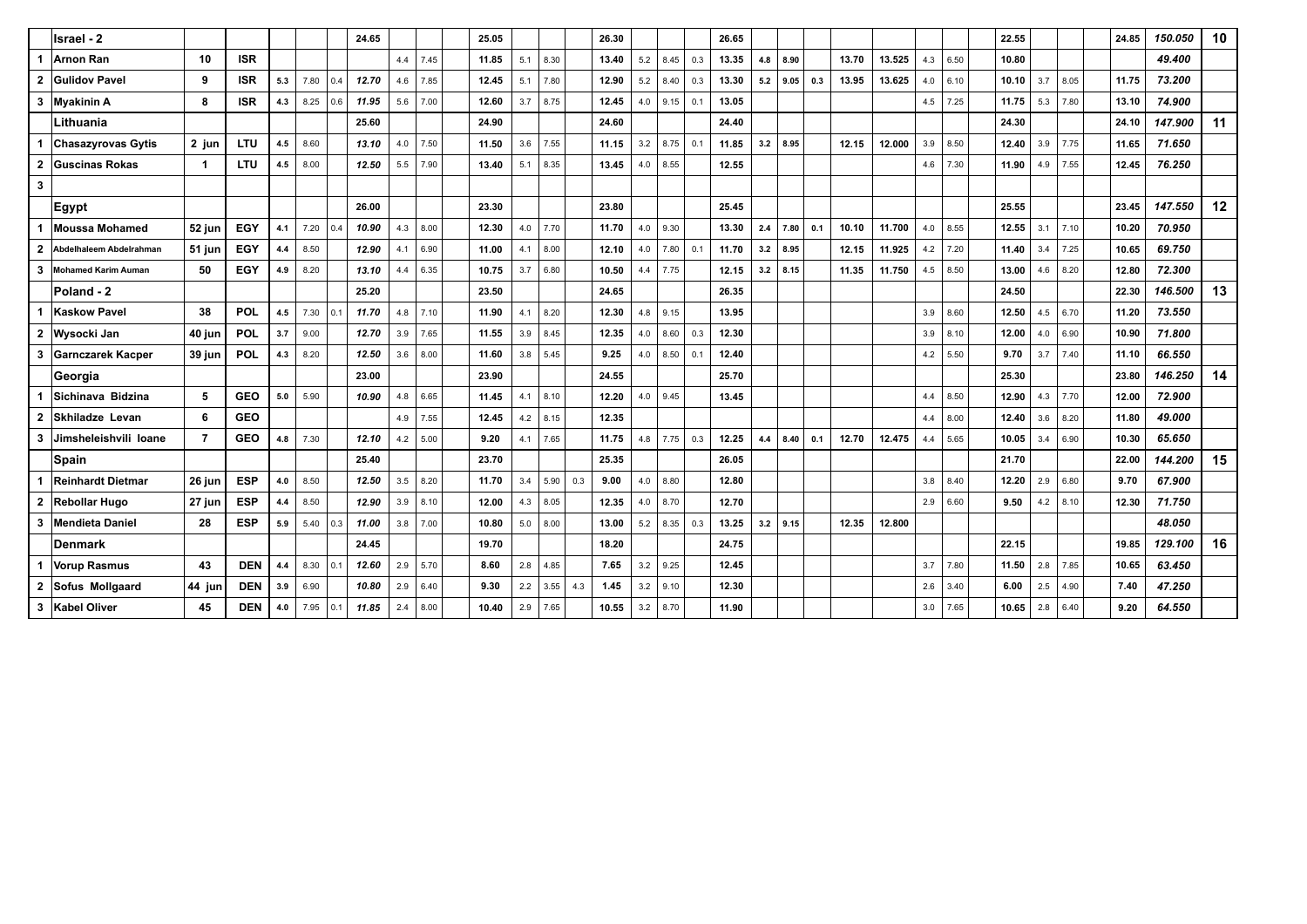|              | Israel - 2                |                |            |     |      |     | 24.65 |     |      | 25.05 |     |      |     | 26.30 |     |              |     | 26.65 |     |      |     |       |        |     |      | 22.55 |     |      | 24.85 | 150.050 | 10 |
|--------------|---------------------------|----------------|------------|-----|------|-----|-------|-----|------|-------|-----|------|-----|-------|-----|--------------|-----|-------|-----|------|-----|-------|--------|-----|------|-------|-----|------|-------|---------|----|
| 1            | Arnon Ran                 | 10             | <b>ISR</b> |     |      |     |       | 4.4 | 7.45 | 11.85 | 5.1 | 8.30 |     | 13.40 | 5.2 | 8.45         | 0.3 | 13.35 | 4.8 | 8.90 |     | 13.70 | 13.525 | 4.3 | 6.50 | 10.80 |     |      |       | 49.400  |    |
|              | 2 Gulidov Pavel           | 9              | <b>ISR</b> | 5.3 | 7.80 | 0.4 | 12.70 | 4.6 | 7.85 | 12.45 | 5.1 | 7.80 |     | 12.90 | 5.2 | 8.40         | 0.3 | 13.30 | 5.2 | 9.05 | 0.3 | 13.95 | 13.625 | 4.0 | 6.10 | 10.10 | 3.7 | 8.05 | 11.75 | 73.200  |    |
|              | 3 Myakinin A              | 8              | <b>ISR</b> | 4.3 | 8.25 | 0.6 | 11.95 | 5.6 | 7.00 | 12.60 | 3.7 | 8.75 |     | 12.45 |     | $4.0$   9.15 | 0.1 | 13.05 |     |      |     |       |        | 4.5 | 7.25 | 11.75 | 5.3 | 7.80 | 13.10 | 74.900  |    |
|              | Lithuania                 |                |            |     |      |     | 25.60 |     |      | 24.90 |     |      |     | 24.60 |     |              |     | 24.40 |     |      |     |       |        |     |      | 24.30 |     |      | 24.10 | 147.900 | 11 |
| 1            | <b>Chasazyrovas Gytis</b> | 2 jun          | <b>LTU</b> | 4.5 | 8.60 |     | 13.10 | 4.0 | 7.50 | 11.50 | 3.6 | 7.55 |     | 11.15 | 3.2 | 8.75         | 0.1 | 11.85 | 3.2 | 8.95 |     | 12.15 | 12.000 | 3.9 | 8.50 | 12.40 | 3.9 | 7.75 | 11.65 | 71.650  |    |
|              | 2 Guscinas Rokas          | $\overline{1}$ | <b>LTU</b> | 4.5 | 8.00 |     | 12.50 | 5.5 | 7.90 | 13.40 | 5.1 | 8.35 |     | 13.45 | 4.0 | 8.55         |     | 12.55 |     |      |     |       |        | 4.6 | 7.30 | 11.90 | 4.9 | 7.55 | 12.45 | 76.250  |    |
| $\mathbf{3}$ |                           |                |            |     |      |     |       |     |      |       |     |      |     |       |     |              |     |       |     |      |     |       |        |     |      |       |     |      |       |         |    |
|              | Egypt                     |                |            |     |      |     | 26.00 |     |      | 23.30 |     |      |     | 23.80 |     |              |     | 25.45 |     |      |     |       |        |     |      | 25.55 |     |      | 23.45 | 147.550 | 12 |
| 1            | <b>Moussa Mohamed</b>     | 52 jun         | EGY        | 4.1 | 7.20 | 0.4 | 10.90 | 4.3 | 8.00 | 12.30 | 4.0 | 7.70 |     | 11.70 | 4.0 | 9.30         |     | 13.30 | 2.4 | 7.80 | 0.1 | 10.10 | 11.700 | 4.0 | 8.55 | 12.55 | 3.1 | 7.10 | 10.20 | 70.950  |    |
| $\mathbf{2}$ | Abdelhaleem Abdelrahman   | 51 jun         | EGY        | 4.4 | 8.50 |     | 12.90 | 4.1 | 6.90 | 11.00 | 4.1 | 8.00 |     | 12.10 | 4.0 | 7.80         | 0.1 | 11.70 | 3.2 | 8.95 |     | 12.15 | 11.925 | 4.2 | 7.20 | 11.40 | 3.4 | 7.25 | 10.65 | 69.750  |    |
|              | 3 Mohamed Karim Auman     | 50             | <b>EGY</b> | 4.9 | 8.20 |     | 13.10 | 4.4 | 6.35 | 10.75 | 3.7 | 6.80 |     | 10.50 | 4.4 | 7.75         |     | 12.15 | 3.2 | 8.15 |     | 11.35 | 11.750 | 4.5 | 8.50 | 13.00 | 4.6 | 8.20 | 12.80 | 72.300  |    |
|              | Poland - 2                |                |            |     |      |     | 25.20 |     |      | 23.50 |     |      |     | 24.65 |     |              |     | 26.35 |     |      |     |       |        |     |      | 24.50 |     |      | 22.30 | 146.500 | 13 |
| 1            | <b>Kaskow Pavel</b>       | 38             | POL        | 4.5 | 7.30 | 0.1 | 11.70 | 4.8 | 7.10 | 11.90 | 4.1 | 8.20 |     | 12.30 | 4.8 | 9.15         |     | 13.95 |     |      |     |       |        | 3.9 | 8.60 | 12.50 | 4.5 | 6.70 | 11.20 | 73.550  |    |
|              | 2 Wysocki Jan             | 40 jun         | <b>POL</b> | 3.7 | 9.00 |     | 12.70 | 3.9 | 7.65 | 11.55 | 3.9 | 8.45 |     | 12.35 | 4.0 | 8.60         | 0.3 | 12.30 |     |      |     |       |        | 3.9 | 8.10 | 12.00 | 4.0 | 6.90 | 10.90 | 71.800  |    |
|              | 3 Garnczarek Kacper       | 39 jun         | <b>POL</b> | 4.3 | 8.20 |     | 12.50 | 3.6 | 8.00 | 11.60 | 3.8 | 5.45 |     | 9.25  | 4.0 | 8.50         | 0.1 | 12.40 |     |      |     |       |        | 4.2 | 5.50 | 9.70  | 3.7 | 7.40 | 11.10 | 66.550  |    |
|              | Georgia                   |                |            |     |      |     | 23.00 |     |      | 23.90 |     |      |     | 24.55 |     |              |     | 25.70 |     |      |     |       |        |     |      | 25.30 |     |      | 23.80 | 146.250 | 14 |
| 1            | Sichinava Bidzina         | 5              | <b>GEO</b> | 5.0 | 5.90 |     | 10.90 | 4.8 | 6.65 | 11.45 | 4.1 | 8.10 |     | 12.20 | 4.0 | 9.45         |     | 13.45 |     |      |     |       |        | 4.4 | 8.50 | 12.90 | 4.3 | 7.70 | 12.00 | 72.900  |    |
|              | 2 Skhiladze Levan         | 6              | <b>GEO</b> |     |      |     |       | 4.9 | 7.55 | 12.45 | 4.2 | 8.15 |     | 12.35 |     |              |     |       |     |      |     |       |        | 4.4 | 8.00 | 12.40 | 3.6 | 8.20 | 11.80 | 49.000  |    |
|              | 3 Jimsheleishvili Ioane   | $\overline{7}$ | <b>GEO</b> | 4.8 | 7.30 |     | 12.10 | 4.2 | 5.00 | 9.20  | 4.1 | 7.65 |     | 11.75 | 4.8 | 7.75         | 0.3 | 12.25 | 4.4 | 8.40 | 0.1 | 12.70 | 12.475 | 4.4 | 5.65 | 10.05 | 3.4 | 6.90 | 10.30 | 65.650  |    |
|              | <b>Spain</b>              |                |            |     |      |     | 25.40 |     |      | 23.70 |     |      |     | 25.35 |     |              |     | 26.05 |     |      |     |       |        |     |      | 21.70 |     |      | 22.00 | 144.200 | 15 |
| 1            | <b>Reinhardt Dietmar</b>  | 26 jun         | <b>ESP</b> | 4.0 | 8.50 |     | 12.50 | 3.5 | 8.20 | 11.70 | 3.4 | 5.90 | 0.3 | 9.00  | 4.0 | 8.80         |     | 12.80 |     |      |     |       |        | 3.8 | 8.40 | 12.20 | 2.9 | 6.80 | 9.70  | 67.900  |    |
|              | 2 Rebollar Hugo           | 27 jun         | <b>ESP</b> | 4.4 | 8.50 |     | 12.90 | 3.9 | 8.10 | 12.00 | 4.3 | 8.05 |     | 12.35 | 4.0 | 8.70         |     | 12.70 |     |      |     |       |        | 2.9 | 6.60 | 9.50  | 4.2 | 8.10 | 12.30 | 71.750  |    |
|              | 3 Mendieta Daniel         | 28             | <b>ESP</b> | 5.9 | 5.40 | 0.3 | 11.00 | 3.8 | 7.00 | 10.80 | 5.0 | 8.00 |     | 13.00 | 5.2 | 8.35         | 0.3 | 13.25 | 3.2 | 9.15 |     | 12.35 | 12.800 |     |      |       |     |      |       | 48.050  |    |
|              | <b>Denmark</b>            |                |            |     |      |     | 24.45 |     |      | 19.70 |     |      |     | 18.20 |     |              |     | 24.75 |     |      |     |       |        |     |      | 22.15 |     |      | 19.85 | 129.100 | 16 |
| 1            | <b>Vorup Rasmus</b>       | 43             | <b>DEN</b> | 4.4 | 8.30 | 0.1 | 12.60 | 2.9 | 5.70 | 8.60  | 2.8 | 4.85 |     | 7.65  | 3.2 | 9.25         |     | 12.45 |     |      |     |       |        | 3.7 | 7.80 | 11.50 | 2.8 | 7.85 | 10.65 | 63.450  |    |
|              | 2 Sofus Mollgaard         | 44 jun         | <b>DEN</b> | 3.9 | 6.90 |     | 10.80 | 2.9 | 6.40 | 9.30  | 2.2 | 3.55 | 4.3 | 1.45  | 3.2 | 9.10         |     | 12.30 |     |      |     |       |        | 2.6 | 3.40 | 6.00  | 2.5 | 4.90 | 7.40  | 47.250  |    |
|              | 3 Kabel Oliver            | 45             | <b>DEN</b> | 4.0 | 7.95 | 0.1 | 11.85 | 2.4 | 8.00 | 10.40 | 2.9 | 7.65 |     | 10.55 | 3.2 | 8.70         |     | 11.90 |     |      |     |       |        | 3.0 | 7.65 | 10.65 | 2.8 | 6.40 | 9.20  | 64.550  |    |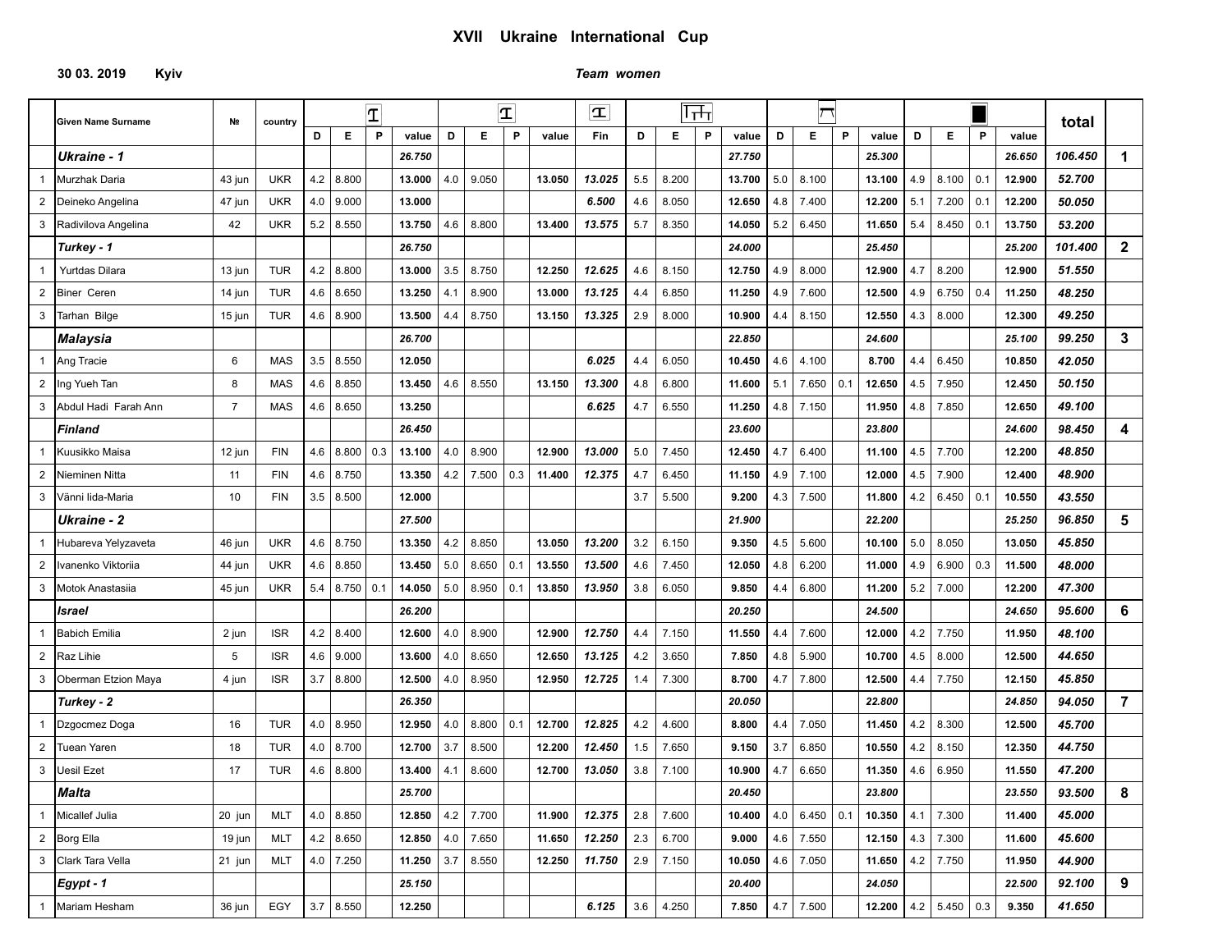## **30 03. 2019 Kyiv** *Team women*

|                | <b>Given Name Surname</b>                                       | Nº             | country    |     |                   | $\mathbf T$ |                          |     |             | $ \mathbf{T} $ |        | Ŧ      |     |       | ᠮᡪᡀ |        |     | ┌ (             |   |        |     |             |     |        | total   |                |
|----------------|-----------------------------------------------------------------|----------------|------------|-----|-------------------|-------------|--------------------------|-----|-------------|----------------|--------|--------|-----|-------|-----|--------|-----|-----------------|---|--------|-----|-------------|-----|--------|---------|----------------|
|                |                                                                 |                |            | D   | Е                 | P           | value                    | D   | Е           | P              | value  | Fin    | D   | Е     | P   | value  | D   | Е               | P | value  | D   | Е           | P   | value  |         |                |
|                | Ukraine - 1                                                     |                |            |     |                   |             | 26.750                   |     |             |                |        |        |     |       |     | 27.750 |     |                 |   | 25.300 |     |             |     | 26.650 | 106.450 | $\mathbf 1$    |
|                | Murzhak Daria                                                   | 43 jun         | <b>UKR</b> | 4.2 | 8.800             |             | 13.000                   | 4.0 | 9.050       |                | 13.050 | 13.025 | 5.5 | 8.200 |     | 13.700 | 5.0 | 8.100           |   | 13.100 | 4.9 | 8.100       | 0.1 | 12.900 | 52.700  |                |
| $\overline{2}$ | Deineko Angelina                                                | 47 jun         | <b>UKR</b> | 4.0 | 9.000             |             | 13.000                   |     |             |                |        | 6.500  | 4.6 | 8.050 |     | 12.650 | 4.8 | 7.400           |   | 12.200 | 5.1 | 7.200       | 0.1 | 12.200 | 50.050  |                |
| 3              | Radivilova Angelina                                             | 42             | <b>UKR</b> | 5.2 | 8.550             |             | 13.750                   | 4.6 | 8.800       |                | 13.400 | 13.575 | 5.7 | 8.350 |     | 14.050 | 5.2 | 6.450           |   | 11.650 | 5.4 | 8.450       | 0.1 | 13.750 | 53.200  |                |
|                | Turkey - 1                                                      |                |            |     |                   |             | 26.750                   |     |             |                |        |        |     |       |     | 24.000 |     |                 |   | 25.450 |     |             |     | 25.200 | 101.400 | $\mathbf{2}$   |
| $\mathbf{1}$   | Yurtdas Dilara                                                  | 13 jun         | <b>TUR</b> | 4.2 | 8.800             |             | 13.000                   | 3.5 | 8.750       |                | 12.250 | 12.625 | 4.6 | 8.150 |     | 12.750 | 4.9 | 8.000           |   | 12.900 | 4.7 | 8.200       |     | 12.900 | 51.550  |                |
| $\overline{2}$ | <b>Biner Ceren</b>                                              | 14 jun         | <b>TUR</b> | 4.6 | 8.650             |             | 13.250                   | 4.1 | 8.900       |                | 13.000 | 13.125 | 4.4 | 6.850 |     | 11.250 | 4.9 | 7.600           |   | 12.500 | 4.9 | 6.750       | 0.4 | 11.250 | 48.250  |                |
| 3              | Tarhan Bilge                                                    | 15 jun         | <b>TUR</b> | 4.6 | 8.900             |             | 13.500                   | 4.4 | 8.750       |                | 13.150 | 13.325 | 2.9 | 8.000 |     | 10.900 | 4.4 | 8.150           |   | 12.550 | 4.3 | 8.000       |     | 12.300 | 49.250  |                |
|                | <b>Malaysia</b>                                                 |                |            |     |                   |             | 26.700                   |     |             |                |        |        |     |       |     | 22.850 |     |                 |   | 24.600 |     |             |     | 25.100 | 99.250  | $\mathbf{3}$   |
|                | Ang Tracie                                                      | 6              | <b>MAS</b> | 3.5 | 8.550             |             | 12.050                   |     |             |                |        | 6.025  | 4.4 | 6.050 |     | 10.450 | 4.6 | 4.100           |   | 8.700  | 4.4 | 6.450       |     | 10.850 | 42.050  |                |
| 2              | Ing Yueh Tan                                                    | 8              | <b>MAS</b> | 4.6 | 8.850             |             | 13.450                   | 4.6 | 8.550       |                | 13.150 | 13.300 | 4.8 | 6.800 |     | 11.600 | 5.1 | 7.650   0.1     |   | 12.650 | 4.5 | 7.950       |     | 12.450 | 50.150  |                |
| 3              | Abdul Hadi Farah Ann                                            | $\overline{7}$ | MAS        | 4.6 | 8.650             |             | 13.250                   |     |             |                |        | 6.625  | 4.7 | 6.550 |     | 11.250 | 4.8 | 7.150           |   | 11.950 | 4.8 | 7.850       |     | 12.650 | 49.100  |                |
|                | <b>Finland</b>                                                  |                |            |     |                   |             | 26.450                   |     |             |                |        |        |     |       |     | 23.600 |     |                 |   | 23.800 |     |             |     | 24.600 | 98.450  | 4              |
|                | Kuusikko Maisa                                                  | 12 jun         | <b>FIN</b> | 4.6 | 8.800             | 0.3         | 13.100                   | 4.0 | 8.900       |                | 12.900 | 13.000 | 5.0 | 7.450 |     | 12.450 | 4.7 | 6.400           |   | 11.100 | 4.5 | 7.700       |     | 12.200 | 48.850  |                |
| $\overline{2}$ | Nieminen Nitta                                                  | 11             | <b>FIN</b> | 4.6 | 8.750             |             | 13.350                   | 4.2 | 7.500       | 0.3            | 11.400 | 12.375 | 4.7 | 6.450 |     | 11.150 | 4.9 | 7.100           |   | 12.000 | 4.5 | 7.900       |     | 12.400 | 48.900  |                |
| 3              | Vänni lida-Maria                                                | 10             | <b>FIN</b> | 3.5 | 8.500             |             | 12.000                   |     |             |                |        |        | 3.7 | 5.500 |     | 9.200  | 4.3 | 7.500           |   | 11.800 | 4.2 | 6.450       | 0.1 | 10.550 | 43.550  |                |
|                | <b>Ukraine - 2</b>                                              |                |            |     |                   |             | 27.500                   |     |             |                |        |        |     |       |     | 21.900 |     |                 |   | 22.200 |     |             |     | 25.250 | 96.850  | 5              |
|                | Hubareva Yelyzaveta                                             | 46 jun         | <b>UKR</b> | 4.6 | 8.750             |             | 13.350                   | 4.2 | 8.850       |                | 13.050 | 13.200 | 3.2 | 6.150 |     | 9.350  | 4.5 | 5.600           |   | 10.100 | 5.0 | 8.050       |     | 13.050 | 45.850  |                |
| $\overline{2}$ | Ivanenko Viktoriia                                              | 44 jun         | <b>UKR</b> | 4.6 | 8.850             |             | 13.450                   | 5.0 | 8.650       | 0.1            | 13.550 | 13.500 | 4.6 | 7.450 |     | 12.050 | 4.8 | 6.200           |   | 11.000 | 4.9 | 6.900       | 0.3 | 11.500 | 48.000  |                |
| 3              | Motok Anastasiia                                                | 45 jun         | <b>UKR</b> | 5.4 | 8.750             | 0.1         | 14.050                   | 5.0 | 8.950   0.1 |                | 13.850 | 13.950 | 3.8 | 6.050 |     | 9.850  | 4.4 | 6.800           |   | 11.200 | 5.2 | 7.000       |     | 12.200 | 47.300  |                |
|                | Israel                                                          |                |            |     |                   |             | 26.200                   |     |             |                |        |        |     |       |     | 20.250 |     |                 |   | 24.500 |     |             |     | 24.650 | 95.600  | 6              |
|                | <b>Babich Emilia</b>                                            | 2 jun          | <b>ISR</b> | 4.2 | 8.400             |             | 12.600                   | 4.0 | 8.900       |                | 12.900 | 12.750 | 4.4 | 7.150 |     | 11.550 | 4.4 | 7.600           |   | 12.000 | 4.2 | 7.750       |     | 11.950 | 48.100  |                |
| 2              | Raz Lihie                                                       | 5              | <b>ISR</b> | 4.6 | 9.000             |             | 13.600                   | 4.0 | 8.650       |                | 12.650 | 13.125 | 4.2 | 3.650 |     | 7.850  | 4.8 | 5.900           |   | 10.700 | 4.5 | 8.000       |     | 12.500 | 44.650  |                |
| 3              | Oberman Etzion Maya                                             | 4 jun          | <b>ISR</b> | 3.7 | 8.800             |             | 12.500                   | 4.0 | 8.950       |                | 12.950 | 12.725 | 1.4 | 7.300 |     | 8.700  | 4.7 | 7.800           |   | 12.500 | 4.4 | 7.750       |     | 12.150 | 45.850  |                |
|                | Turkey - 2                                                      |                |            |     |                   |             | 26.350                   |     |             |                |        |        |     |       |     | 20.050 |     |                 |   | 22.800 |     |             |     | 24.850 | 94.050  | $\overline{7}$ |
|                | Dzgocmez Doga                                                   | 16             | <b>TUR</b> | 4.0 | 8.950             |             | 12.950                   | 4.0 | 8.800       | 0.1            | 12.700 | 12.825 | 4.2 | 4.600 |     | 8.800  | 4.4 | 7.050           |   | 11.450 | 4.2 | 8.300       |     | 12.500 | 45.700  |                |
| $\overline{2}$ | <b>Tuean Yaren</b>                                              | 18             | <b>TUR</b> | 4.0 | 8.700             |             | 12.700                   | 3.7 | 8.500       |                | 12.200 | 12.450 | 1.5 | 7.650 |     | 9.150  | 3.7 | 6.850           |   | 10.550 | 4.2 | 8.150       |     | 12.350 | 44.750  |                |
| 3              | Jesil Ezet                                                      | 17             | <b>TUR</b> | 4.6 | 8.800             |             | 13.400                   | 4.1 | 8.600       |                | 12.700 | 13.050 | 3.8 | 7.100 |     | 10.900 | 4.7 | 6.650           |   | 11.350 | 4.6 | 6.950       |     | 11.550 | 47.200  |                |
|                | <b>Malta</b>                                                    |                |            |     |                   |             | 25.700                   |     |             |                |        |        |     |       |     | 20.450 |     |                 |   | 23.800 |     |             |     | 23.550 | 93.500  | 8              |
|                | 1 Micallef Julia                                                | 20 jun         | <b>MLT</b> |     | 4.0   8.850       |             | 12.850 $ $ 4.2 $ $ 7.700 |     |             |                | 11.900 | 12.375 | 2.8 | 7.600 |     | 10.400 |     | $4.0$ 6.450 0.1 |   | 10.350 | 4.1 | 7.300       |     | 11.400 | 45.000  |                |
|                | $\begin{array}{ c c } \hline 2 & \text{Borg Ellis} \end{array}$ | 19 jun         | <b>MLT</b> |     | $4.2$ 8.650       |             | 12.850 $ 4.0$            |     | 7.650       |                | 11.650 | 12.250 | 2.3 | 6.700 |     | 9.000  |     | 4.6 7.550       |   | 12.150 |     | $4.3$ 7.300 |     | 11.600 | 45.600  |                |
|                | 3 Clark Tara Vella                                              | 21 jun         | MLT        |     | 4.0 $\vert$ 7.250 |             | 11.250 $3.7$             |     | 8.550       |                | 12.250 | 11.750 | 2.9 | 7.150 |     | 10.050 |     | $4.6$ 7.050     |   | 11.650 |     | $4.2$ 7.750 |     | 11.950 | 44.900  |                |
|                | $Egypt - 1$                                                     |                |            |     |                   |             | 25.150                   |     |             |                |        |        |     |       |     | 20.400 |     |                 |   | 24.050 |     |             |     | 22.500 | 92.100  | 9              |
|                | 1 Mariam Hesham                                                 | 36 jun         | EGY        |     | $3.7$ 8.550       |             | 12.250                   |     |             |                |        | 6.125  | 3.6 | 4.250 |     | 7.850  |     | $4.7$ 7.500     |   | 12.200 |     | $4.2$ 5.450 | 0.3 | 9.350  | 41.650  |                |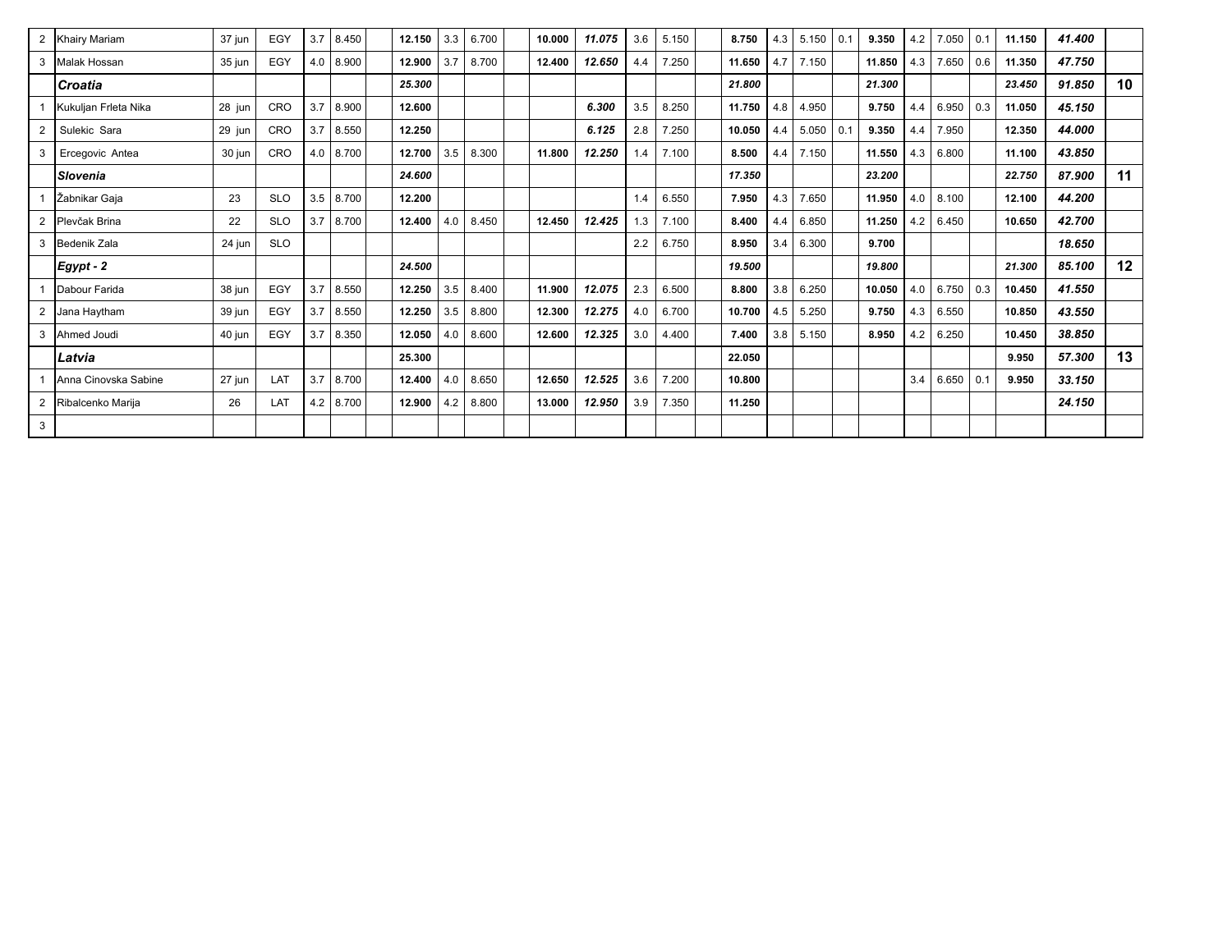|              | 2 Khairy Mariam      | 37 jun | EGY        | 3.7 | 8.450 | 12.150 | 3.3 | 6.700 | 10.000 | 11.075 | 3.6 | 5.150 | 8.750  | 4.3 | $5.150 \mid 0.1$ | 9.350  | 4.2 | 7.050<br>0.1 | 11.150 | 41.400 |    |
|--------------|----------------------|--------|------------|-----|-------|--------|-----|-------|--------|--------|-----|-------|--------|-----|------------------|--------|-----|--------------|--------|--------|----|
| 3            | Malak Hossan         | 35 jun | EGY        | 4.0 | 8.900 | 12.900 | 3.7 | 8.700 | 12.400 | 12.650 | 4.4 | 7.250 | 11.650 | 4.7 | 7.150            | 11.850 | 4.3 | 7.650<br>0.6 | 11.350 | 47.750 |    |
|              | Croatia              |        |            |     |       | 25.300 |     |       |        |        |     |       | 21.800 |     |                  | 21.300 |     |              | 23.450 | 91.850 | 10 |
|              | Kukuljan Frleta Nika | 28 jun | CRO        | 3.7 | 8.900 | 12.600 |     |       |        | 6.300  | 3.5 | 8.250 | 11.750 | 4.8 | 4.950            | 9.750  | 4.4 | 6.950<br>0.3 | 11.050 | 45.150 |    |
| 2            | Sulekic Sara         | 29 jun | CRO        | 3.7 | 8.550 | 12.250 |     |       |        | 6.125  | 2.8 | 7.250 | 10.050 | 4.4 | 5.050   0.1      | 9.350  | 4.4 | 7.950        | 12.350 | 44.000 |    |
|              | Ercegovic Antea      | 30 jun | <b>CRO</b> | 4.0 | 8.700 | 12.700 | 3.5 | 8.300 | 11.800 | 12.250 | 1.4 | 7.100 | 8.500  | 4.4 | 7.150            | 11.550 | 4.3 | 6.800        | 11.100 | 43.850 |    |
|              | <b>Slovenia</b>      |        |            |     |       | 24.600 |     |       |        |        |     |       | 17.350 |     |                  | 23.200 |     |              | 22.750 | 87.900 | 11 |
|              | Žabnikar Gaja        | 23     | <b>SLO</b> | 3.5 | 8.700 | 12.200 |     |       |        |        | 1.4 | 6.550 | 7.950  | 4.3 | 7.650            | 11.950 | 4.0 | 8.100        | 12.100 | 44.200 |    |
|              | Plevčak Brina        | 22     | <b>SLO</b> | 3.7 | 8.700 | 12.400 | 4.0 | 8.450 | 12.450 | 12.425 | 1.3 | 7.100 | 8.400  | 4.4 | 6.850            | 11.250 | 4.2 | 6.450        | 10.650 | 42.700 |    |
|              | Bedenik Zala         | 24 jun | <b>SLO</b> |     |       |        |     |       |        |        | 2.2 | 6.750 | 8.950  | 3.4 | 6.300            | 9.700  |     |              |        | 18.650 |    |
|              | Egypt - 2            |        |            |     |       | 24.500 |     |       |        |        |     |       | 19.500 |     |                  | 19.800 |     |              | 21.300 | 85.100 | 12 |
|              | Dabour Farida        | 38 jun | EGY        | 3.7 | 8.550 | 12.250 | 3.5 | 8.400 | 11.900 | 12.075 | 2.3 | 6.500 | 8.800  | 3.8 | 6.250            | 10.050 | 4.0 | 6.750<br>0.3 | 10.450 | 41.550 |    |
|              | 2 Jana Haytham       | 39 jun | EGY        | 3.7 | 8.550 | 12.250 | 3.5 | 8.800 | 12.300 | 12.275 | 4.0 | 6.700 | 10.700 | 4.5 | 5.250            | 9.750  | 4.3 | 6.550        | 10.850 | 43.550 |    |
|              | Ahmed Joudi          | 40 jun | EGY        | 3.7 | 8.350 | 12.050 | 4.0 | 8.600 | 12.600 | 12.325 | 3.0 | 4.400 | 7.400  | 3.8 | 5.150            | 8.950  | 4.2 | 6.250        | 10.450 | 38.850 |    |
|              | Latvia               |        |            |     |       | 25.300 |     |       |        |        |     |       | 22.050 |     |                  |        |     |              | 9.950  | 57.300 | 13 |
|              | Anna Cinovska Sabine | 27 jun | LAT        | 3.7 | 8.700 | 12.400 | 4.0 | 8.650 | 12.650 | 12.525 | 3.6 | 7.200 | 10.800 |     |                  |        | 3.4 | 6.650<br>0.1 | 9.950  | 33.150 |    |
|              | Ribalcenko Marija    | 26     | <b>LAT</b> | 4.2 | 8.700 | 12.900 | 4.2 | 8.800 | 13.000 | 12.950 | 3.9 | 7.350 | 11.250 |     |                  |        |     |              |        | 24.150 |    |
| $\mathbf{3}$ |                      |        |            |     |       |        |     |       |        |        |     |       |        |     |                  |        |     |              |        |        |    |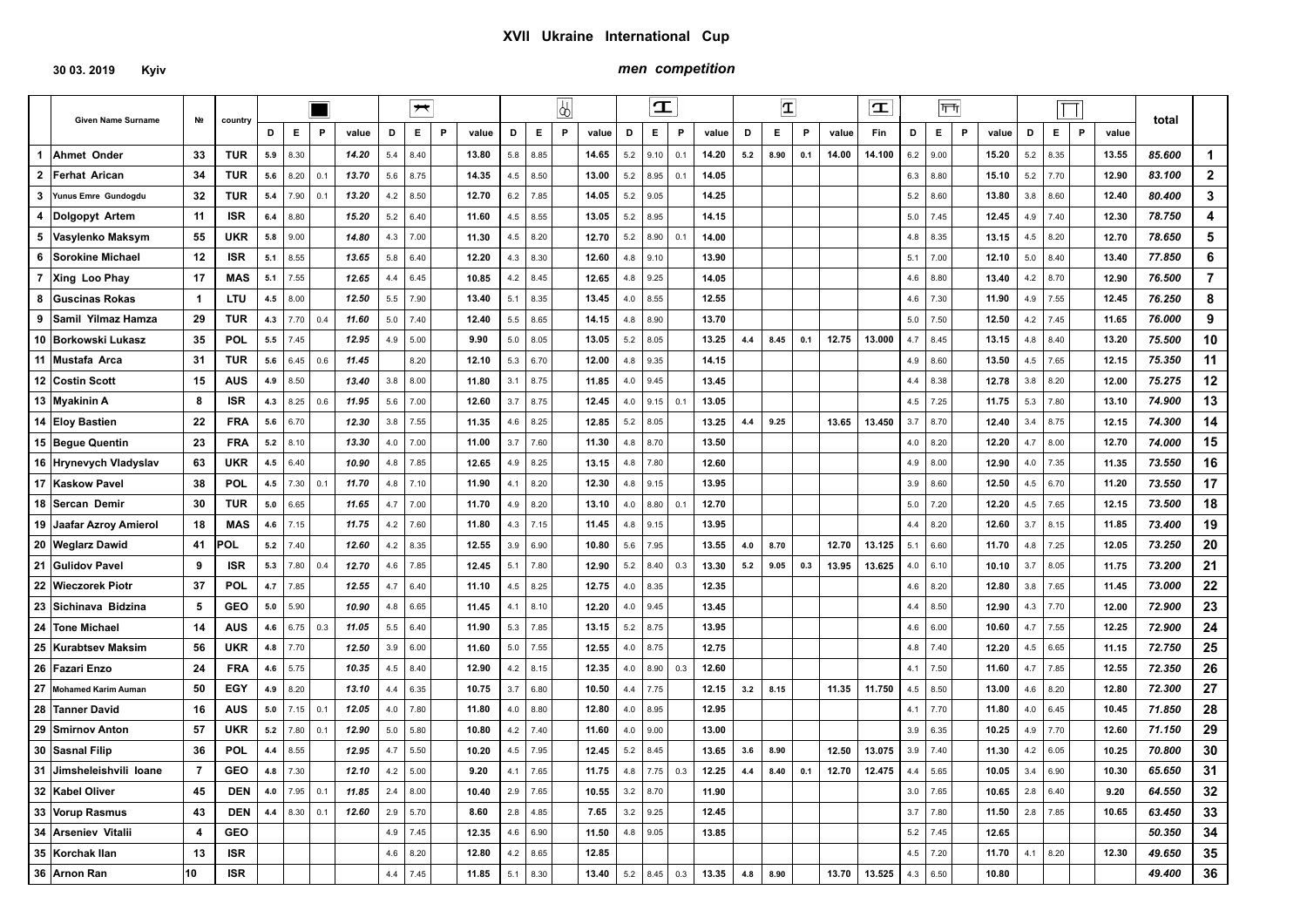## **30 03. 2019 Kyiv**

## *men competition*

|                           |                         |            |     |      | I I |       |     | $\overline{\phantom{a}}$ |   |       |     |            | 4        |       |     | $\mathbf T$ |              |       |     | $ \mathbf{T} $ |     |       | $\mathbf T$ |     | $ \overline{\mathsf{T}}\overline{\mathsf{T}} $ |              |       |     | $\Box$ |                       |        |                |
|---------------------------|-------------------------|------------|-----|------|-----|-------|-----|--------------------------|---|-------|-----|------------|----------|-------|-----|-------------|--------------|-------|-----|----------------|-----|-------|-------------|-----|------------------------------------------------|--------------|-------|-----|--------|-----------------------|--------|----------------|
| <b>Given Name Surname</b> | Nº                      | country    | D   | E    | P   | value | D   | Е                        | P | value | D   | Е          | <b>P</b> | value | D   | E.          | $\mathsf{P}$ | value | D   | Е              | P   | value | Fin         | D   | E.                                             | $\mathsf{P}$ | value | D   | E.     | $\mathsf{P}$<br>value | total  |                |
| 1 Ahmet Onder             | 33                      | <b>TUR</b> | 5.9 | 8.30 |     | 14.20 | 5.4 | 8.40                     |   | 13.80 | 5.8 | 8.85       |          | 14.65 | 5.2 | 9.10        | 0.1          | 14.20 | 5.2 | 8.90           | 0.1 | 14.00 | 14.100      | 6.2 | 9.00                                           |              | 15.20 | 5.2 | 8.35   | 13.55                 | 85.600 | 1              |
| 2 Ferhat Arican           | 34                      | <b>TUR</b> | 5.6 | 8.20 | 0.1 | 13.70 | 5.6 | 8.75                     |   | 14.35 | 4.5 | 8.50       |          | 13.00 | 5.2 | 8.95        | 0.1          | 14.05 |     |                |     |       |             | 6.3 | 8.80                                           |              | 15.10 | 5.2 | 7.70   | 12.90                 | 83.100 | $\mathbf{2}$   |
| 3 Yunus Emre Gundogdu     | 32                      | <b>TUR</b> | 5.4 | 7.90 | 0.1 | 13.20 | 4.2 | 8.50                     |   | 12.70 | 6.2 | 7.85       |          | 14.05 | 5.2 | 9.05        |              | 14.25 |     |                |     |       |             | 5.2 | 8.60                                           |              | 13.80 | 3.8 | 8.60   | 12.40                 | 80.400 | 3              |
| 4  Dolgopyt Artem         | 11                      | <b>ISR</b> | 6.4 | 8.80 |     | 15.20 | 5.2 | 6.40                     |   | 11.60 | 4.5 | 8.55       |          | 13.05 | 5.2 | 8.95        |              | 14.15 |     |                |     |       |             | 5.0 | 7.45                                           |              | 12.45 | 4.9 | 7.40   | 12.30                 | 78.750 | 4              |
| 5 Vasylenko Maksym        | 55                      | <b>UKR</b> | 5.8 | 9.00 |     | 14.80 | 4.3 | 7.00                     |   | 11.30 | 4.5 | 8.20       |          | 12.70 | 5.2 | 8.90        | 0.1          | 14.00 |     |                |     |       |             | 4.8 | 8.35                                           |              | 13.15 | 4.5 | 8.20   | 12.70                 | 78.650 | 5              |
| 6 Sorokine Michael        | 12                      | <b>ISR</b> | 5.1 | 8.55 |     | 13.65 | 5.8 | 6.40                     |   | 12.20 | 4.3 | 8.30       |          | 12.60 | 4.8 | 9.10        |              | 13.90 |     |                |     |       |             | 5.1 | 7.00                                           |              | 12.10 | 5.0 | 8.40   | 13.40                 | 77.850 | 6              |
| 7 Xing Loo Phay           | 17                      | MAS        | 5.1 | 7.55 |     | 12.65 | 4.4 | 6.45                     |   | 10.85 | 4.2 | 8.45       |          | 12.65 | 4.8 | 9.25        |              | 14.05 |     |                |     |       |             | 4.6 | 8.80                                           |              | 13.40 | 4.2 | 8.70   | 12.90                 | 76.500 | $\overline{7}$ |
| 8 Guscinas Rokas          | $\overline{1}$          | LTU        | 4.5 | 8.00 |     | 12.50 | 5.5 | 7.90                     |   | 13.40 | 5.1 | 8.35       |          | 13.45 | 4.0 | 8.55        |              | 12.55 |     |                |     |       |             | 4.6 | 7.30                                           |              | 11.90 | 4.9 | 7.55   | 12.45                 | 76.250 | 8              |
| 9 Samil Yilmaz Hamza      | 29                      | TUR        | 4.3 | 7.70 | 0.4 | 11.60 | 5.0 | 7.40                     |   | 12.40 | 5.5 | 8.65       |          | 14.15 | 4.8 | 8.90        |              | 13.70 |     |                |     |       |             | 5.0 | 7.50                                           |              | 12.50 | 4.2 | 7.45   | 11.65                 | 76.000 | 9              |
| 10 Borkowski Lukasz       | 35                      | <b>POL</b> | 5.5 | 7.45 |     | 12.95 | 4.9 | 5.00                     |   | 9.90  | 5.0 | 8.05       |          | 13.05 | 5.2 | 8.05        |              | 13.25 | 4.4 | 8.45           | 0.1 | 12.75 | 13.000      | 4.7 | 8.45                                           |              | 13.15 | 4.8 | 8.40   | 13.20                 | 75.500 | 10             |
| 11 Mustafa Arca           | 31                      | <b>TUR</b> | 5.6 | 6.45 | 0.6 | 11.45 |     | 8.20                     |   | 12.10 | 5.3 | 6.70       |          | 12.00 | 4.8 | 9.35        |              | 14.15 |     |                |     |       |             | 4.9 | 8.60                                           |              | 13.50 | 4.5 | 7.65   | 12.15                 | 75.350 | 11             |
| <b>12 Costin Scott</b>    | 15                      | AUS        | 4.9 | 8.50 |     | 13.40 | 3.8 | 8.00                     |   | 11.80 |     | $3.1$ 8.75 |          | 11.85 | 4.0 | 9.45        |              | 13.45 |     |                |     |       |             | 4.4 | 8.38                                           |              | 12.78 | 3.8 | 8.20   | 12.00                 | 75.275 | 12             |
| 13 Myakinin A             | 8                       | <b>ISR</b> | 4.3 | 8.25 | 0.6 | 11.95 | 5.6 | 7.00                     |   | 12.60 |     | $3.7$ 8.75 |          | 12.45 | 4.0 | 9.15        | 0.1          | 13.05 |     |                |     |       |             | 4.5 | 7.25                                           |              | 11.75 | 5.3 | 7.80   | 13.10                 | 74.900 | 13             |
| 14 Eloy Bastien           | 22                      | <b>FRA</b> | 5.6 | 6.70 |     | 12.30 | 3.8 | 7.55                     |   | 11.35 | 4.6 | 8.25       |          | 12.85 | 5.2 | 8.05        |              | 13.25 | 4.4 | 9.25           |     | 13.65 | 13.450      | 3.7 | 8.70                                           |              | 12.40 | 3.4 | 8.75   | 12.15                 | 74.300 | 14             |
| 15 Begue Quentin          | 23                      | <b>FRA</b> | 5.2 | 8.10 |     | 13.30 | 4.0 | 7.00                     |   | 11.00 | 3.7 | 7.60       |          | 11.30 | 4.8 | 8.70        |              | 13.50 |     |                |     |       |             | 4.0 | 8.20                                           |              | 12.20 | 4.7 | 8.00   | 12.70                 | 74.000 | 15             |
| 16 Hrynevych Vladyslav    | 63                      | UKR        | 4.5 | 6.40 |     | 10.90 | 4.8 | 7.85                     |   | 12.65 | 4.9 | 8.25       |          | 13.15 | 4.8 | 7.80        |              | 12.60 |     |                |     |       |             | 4.9 | 8.00                                           |              | 12.90 | 4.0 | 7.35   | 11.35                 | 73.550 | 16             |
| 17 Kaskow Pavel           | 38                      | <b>POL</b> | 4.5 | 7.30 | 0.1 | 11.70 | 4.8 | 7.10                     |   | 11.90 | 4.1 | 8.20       |          | 12.30 | 4.8 | 9.15        |              | 13.95 |     |                |     |       |             | 3.9 | 8.60                                           |              | 12.50 | 4.5 | 6.70   | 11.20                 | 73.550 | 17             |
| 18 Sercan Demir           | 30                      | <b>TUR</b> | 5.0 | 6.65 |     | 11.65 | 4.7 | 7.00                     |   | 11.70 | 4.9 | 8.20       |          | 13.10 | 4.0 | 8.80        | 0.1          | 12.70 |     |                |     |       |             | 5.0 | 7.20                                           |              | 12.20 | 4.5 | 7.65   | 12.15                 | 73.500 | 18             |
| 19 Jaafar Azroy Amierol   | 18                      | <b>MAS</b> | 4.6 | 7.15 |     | 11.75 | 4.2 | 7.60                     |   | 11.80 | 4.3 | 7.15       |          | 11.45 | 4.8 | 9.15        |              | 13.95 |     |                |     |       |             | 4.4 | 8.20                                           |              | 12.60 | 3.7 | 8.15   | 11.85                 | 73.400 | 19             |
| 20 Weglarz Dawid          | 41                      | POL        | 5.2 | 7.40 |     | 12.60 | 4.2 | 8.35                     |   | 12.55 | 3.9 | 6.90       |          | 10.80 | 5.6 | 7.95        |              | 13.55 | 4.0 | 8.70           |     | 12.70 | 13.125      | 5.1 | 6.60                                           |              | 11.70 | 4.8 | 7.25   | 12.05                 | 73.250 | 20             |
| 21 Gulidov Pavel          | 9                       | <b>ISR</b> | 5.3 | 7.80 | 0.4 | 12.70 | 4.6 | 7.85                     |   | 12.45 |     | $5.1$ 7.80 |          | 12.90 | 5.2 | 8.40        | 0.3          | 13.30 | 5.2 | 9.05           | 0.3 | 13.95 | 13.625      | 4.0 | 6.10                                           |              | 10.10 | 3.7 | 8.05   | 11.75                 | 73.200 | 21             |
| 22 Wieczorek Piotr        | 37                      | <b>POL</b> | 4.7 | 7.85 |     | 12.55 | 4.7 | 6.40                     |   | 11.10 | 4.5 | 8.25       |          | 12.75 | 4.0 | 8.35        |              | 12.35 |     |                |     |       |             | 4.6 | 8.20                                           |              | 12.80 | 3.8 | 7.65   | 11.45                 | 73.000 | 22             |
| 23 Sichinava Bidzina      | 5                       | <b>GEO</b> | 5.0 | 5.90 |     | 10.90 | 4.8 | 6.65                     |   | 11.45 | 4.1 | 8.10       |          | 12.20 | 4.0 | 9.45        |              | 13.45 |     |                |     |       |             | 4.4 | 8.50                                           |              | 12.90 | 4.3 | 7.70   | 12.00                 | 72.900 | 23             |
| 24 Tone Michael           | 14                      | AUS        | 4.6 | 6.75 | 0.3 | 11.05 | 5.5 | 6.40                     |   | 11.90 | 5.3 | 7.85       |          | 13.15 | 5.2 | 8.75        |              | 13.95 |     |                |     |       |             | 4.6 | 6.00                                           |              | 10.60 | 4.7 | 7.55   | 12.25                 | 72.900 | 24             |
| 25 Kurabtsev Maksim       | 56                      | <b>UKR</b> | 4.8 | 7.70 |     | 12.50 | 3.9 | 6.00                     |   | 11.60 | 5.0 | 7.55       |          | 12.55 | 4.0 | 8.75        |              | 12.75 |     |                |     |       |             | 4.8 | 7.40                                           |              | 12.20 | 4.5 | 6.65   | 11.15                 | 72.750 | 25             |
| 26 Fazari Enzo            | 24                      | <b>FRA</b> | 4.6 | 5.75 |     | 10.35 | 4.5 | 8.40                     |   | 12.90 | 4.2 | 8.15       |          | 12.35 | 4.0 | 8.90        | 0.3          | 12.60 |     |                |     |       |             | 4.1 | 7.50                                           |              | 11.60 | 4.7 | 7.85   | 12.55                 | 72.350 | 26             |
| 27 Mohamed Karim Auman    | 50                      | EGY        | 4.9 | 8.20 |     | 13.10 | 4.4 | 6.35                     |   | 10.75 | 3.7 | 6.80       |          | 10.50 | 4.4 | 7.75        |              | 12.15 | 3.2 | 8.15           |     | 11.35 | 11.750      | 4.5 | 8.50                                           |              | 13.00 | 4.6 | 8.20   | 12.80                 | 72.300 | 27             |
| 28 Tanner David           | 16                      | <b>AUS</b> | 5.0 | 7.15 | 0.1 | 12.05 | 4.0 | 7.80                     |   | 11.80 | 4.0 | 8.80       |          | 12.80 | 4.0 | 8.95        |              | 12.95 |     |                |     |       |             | 4.1 | 7.70                                           |              | 11.80 | 4.0 | 6.45   | 10.45                 | 71.850 | 28             |
| 29 Smirnov Anton          | 57                      | <b>UKR</b> | 5.2 | 7.80 | 0.1 | 12.90 | 5.0 | 5.80                     |   | 10.80 | 4.2 | 7.40       |          | 11.60 | 4.0 | 9.00        |              | 13.00 |     |                |     |       |             | 3.9 | 6.35                                           |              | 10.25 | 4.9 | 7.70   | 12.60                 | 71.150 | 29             |
| 30 Sasnal Filip           | 36                      | <b>POL</b> | 4.4 | 8.55 |     | 12.95 | 4.7 | 5.50                     |   | 10.20 | 4.5 | 7.95       |          | 12.45 | 5.2 | 8.45        |              | 13.65 | 3.6 | 8.90           |     | 12.50 | 13.075      | 3.9 | 7.40                                           |              | 11.30 | 4.2 | 6.05   | 10.25                 | 70.800 | 30             |
| 31 Jimsheleishvili Ioane  | 7                       | GEO        | 4.8 | 7.30 |     | 12.10 | 4.2 | 5.00                     |   | 9.20  | 4.1 | 7.65       |          | 11.75 | 4.8 | 7.75        | 0.3          | 12.25 | 4.4 | 8.40           | 0.1 | 12.70 | 12.475      | 4.4 | 5.65                                           |              | 10.05 | 3.4 | 6.90   | 10.30                 | 65.650 | 31             |
| 32 Kabel Oliver           | 45                      | <b>DEN</b> | 4.0 | 7.95 | 0.1 | 11.85 | 2.4 | 8.00                     |   | 10.40 | 2.9 | 7.65       |          | 10.55 | 3.2 | 8.70        |              | 11.90 |     |                |     |       |             | 3.0 | 7.65                                           |              | 10.65 | 2.8 | 6.40   | 9.20                  | 64.550 | 32             |
| 33 Vorup Rasmus           | 43                      | <b>DEN</b> | 4.4 | 8.30 | 0.1 | 12.60 | 2.9 | 5.70                     |   | 8.60  | 2.8 | 4.85       |          | 7.65  | 3.2 | 9.25        |              | 12.45 |     |                |     |       |             | 3.7 | 7.80                                           |              | 11.50 | 2.8 | 7.85   | 10.65                 | 63.450 | 33             |
| 34 Arseniev Vitalii       | $\overline{\mathbf{4}}$ | <b>GEO</b> |     |      |     |       | 4.9 | 7.45                     |   | 12.35 | 4.6 | 6.90       |          | 11.50 | 4.8 | 9.05        |              | 13.85 |     |                |     |       |             | 5.2 | 7.45                                           |              | 12.65 |     |        |                       | 50.350 | 34             |
| 35 Korchak Ilan           | 13                      | <b>ISR</b> |     |      |     |       | 4.6 | 8.20                     |   | 12.80 | 4.2 | 8.65       |          | 12.85 |     |             |              |       |     |                |     |       |             | 4.5 | 7.20                                           |              | 11.70 | 4.1 | 8.20   | 12.30                 | 49.650 | 35             |
| 36 Arnon Ran              | 10                      | <b>ISR</b> |     |      |     |       | 4.4 | 7.45                     |   | 11.85 | 5.1 | 8.30       |          | 13.40 | 5.2 | 8.45        | 0.3          | 13.35 | 4.8 | 8.90           |     | 13.70 | 13.525      | 4.3 | 6.50                                           |              | 10.80 |     |        |                       | 49.400 | 36             |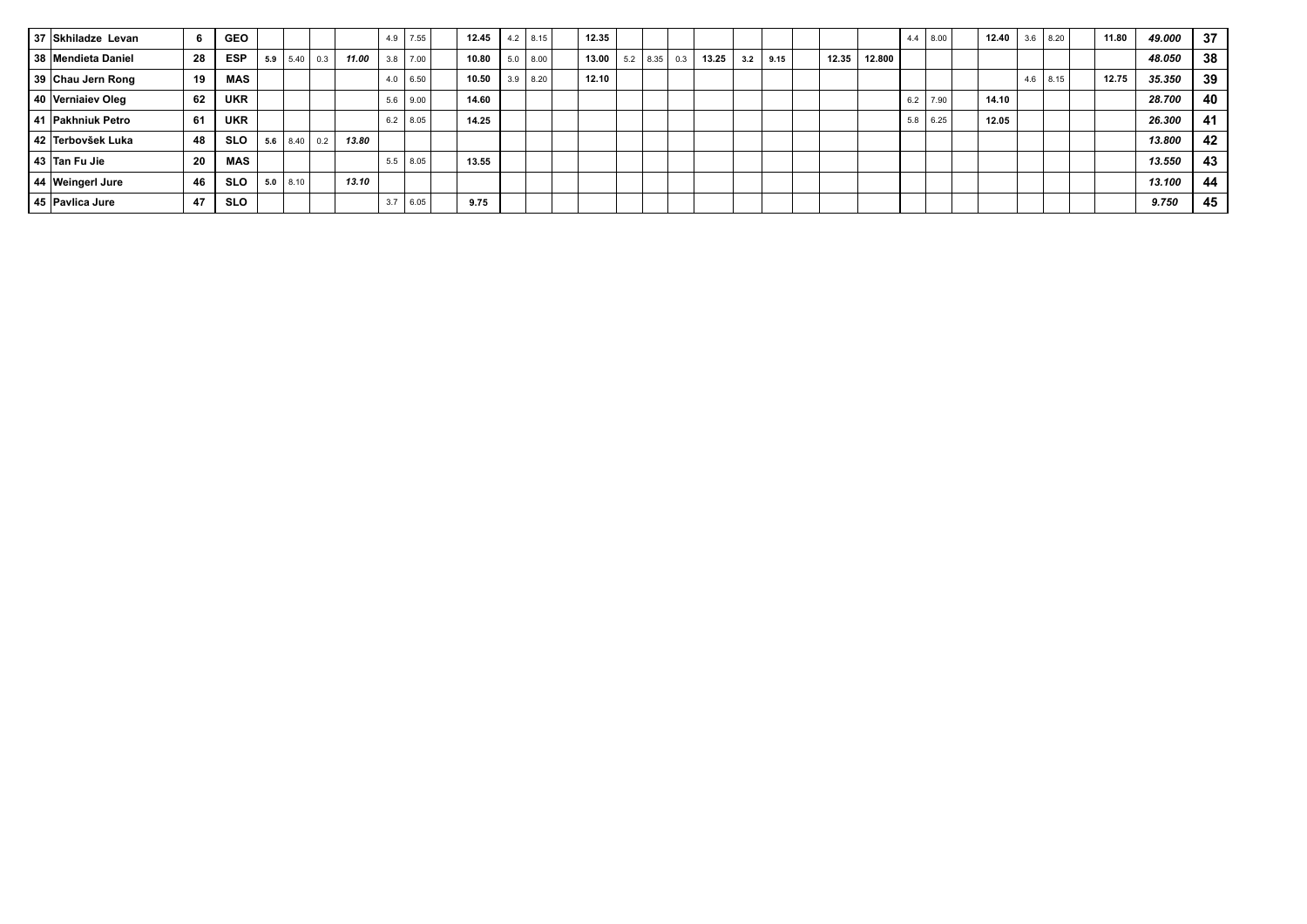| 37 Skhiladze Levan |     | <b>GEO</b> |     |              |     |       | 4.9 | 17.55        | 12.45 | $4.2$   8.15 | 12.35 |     |      |     |       |     |      |       |        | 4.4        | 8.00 | 12.40 | 3.6 | 8.20       | 11.80 | 49.000 | 37 |
|--------------------|-----|------------|-----|--------------|-----|-------|-----|--------------|-------|--------------|-------|-----|------|-----|-------|-----|------|-------|--------|------------|------|-------|-----|------------|-------|--------|----|
| 38 Mendieta Daniel | 28  | <b>ESP</b> | 5.9 | 5.40         | 0.3 | 11.00 | 3.8 | 7.00         | 10.80 | $5.0$ 8.00   | 13.00 | 5.2 | 8.35 | 0.3 | 13.25 | 3.2 | 9.15 | 12.35 | 12.800 |            |      |       |     |            |       | 48.050 | 38 |
| 39 Chau Jern Rong  | 19  | <b>MAS</b> |     |              |     |       |     | $4.0 \ 6.50$ | 10.50 | $3.9$ 8.20   | 12.10 |     |      |     |       |     |      |       |        |            |      |       |     | $4.6$ 8.15 | 12.75 | 35,350 | 39 |
| 40 Vernialev Oleg  | 62  | <b>UKR</b> |     |              |     |       | 5.6 | 9.00         | 14.60 |              |       |     |      |     |       |     |      |       |        | 6.2        | 7.90 | 14.10 |     |            |       | 28.700 | 40 |
| 41 Pakhniuk Petro  | 61  | <b>UKR</b> |     |              |     |       | 6.2 | 8.05         | 14.25 |              |       |     |      |     |       |     |      |       |        | $5.8$ 6.25 |      | 12.05 |     |            |       | 26.300 | 41 |
| 42 Terbovšek Luka  | 48  | <b>SLO</b> | 5.6 | $8.40 \ 0.2$ |     | 13.80 |     |              |       |              |       |     |      |     |       |     |      |       |        |            |      |       |     |            |       | 13,800 | 42 |
| 43 Tan Fu Jie      | -20 | MAS        |     |              |     |       | 5.5 | 8.05         | 13.55 |              |       |     |      |     |       |     |      |       |        |            |      |       |     |            |       | 13.550 | 43 |
| 44 Weingerl Jure   | 46  | <b>SLO</b> |     | $5.0$   8.10 |     | 13.10 |     |              |       |              |       |     |      |     |       |     |      |       |        |            |      |       |     |            |       | 13.100 | 44 |
| 45 Pavlica Jure    | -47 | <b>SLO</b> |     |              |     |       | 3.7 | 6.05         | 9.75  |              |       |     |      |     |       |     |      |       |        |            |      |       |     |            |       | 9.750  | 45 |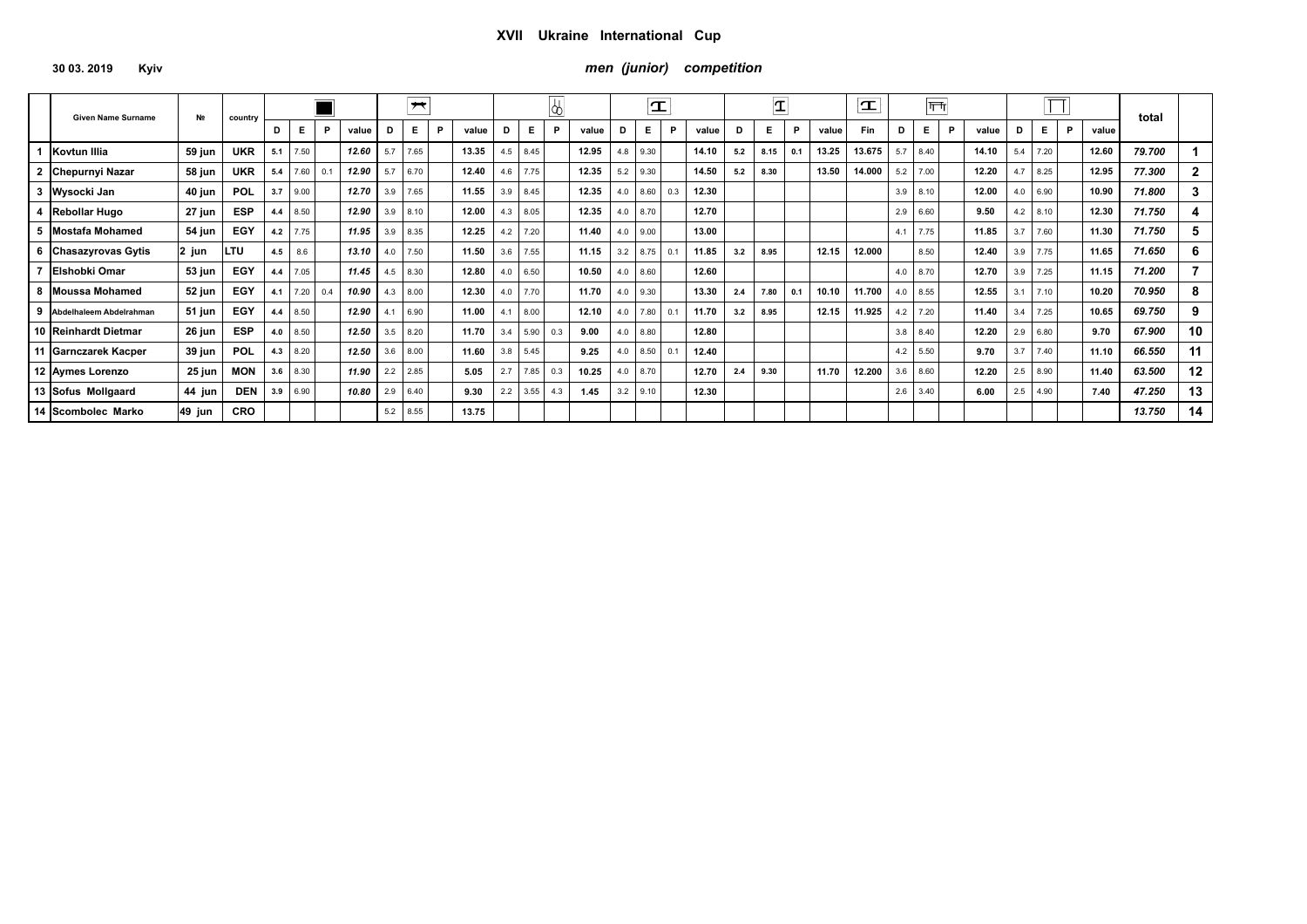# **30 03. 2019 Kyiv** *men (junior) competition*

| <b>Given Name Surname</b> | N <sub>2</sub> | country    |     |      |     |       |     | $\overline{\phantom{a}}$ |   |       |     |            |     |       |     | $\mathbf{T}$ |     |       |     | ΙT   |     |       | $\mathbf{T}$ |     | गणि        |   |       |     | $ \Box$    |   |       | total  |              |
|---------------------------|----------------|------------|-----|------|-----|-------|-----|--------------------------|---|-------|-----|------------|-----|-------|-----|--------------|-----|-------|-----|------|-----|-------|--------------|-----|------------|---|-------|-----|------------|---|-------|--------|--------------|
|                           |                |            | D   | Е.   | P   | value | D   | E.                       | P | value | D   | E.         | P   | value | D   | E.           | P   | value | D   | Е.   | P   | value | <b>Fin</b>   | D   | E.         | P | value | D   | Ε.         | P | value |        |              |
| Kovtun Illia              | 59 jun         | <b>UKR</b> | 5.1 | 7.50 |     | 12.60 | 5.7 | 7.65                     |   | 13.35 |     | $4.5$ 8.45 |     | 12.95 | 4.8 | 9.30         |     | 14.10 | 5.2 | 8.15 | 0.1 | 13.25 | 13.675       | 5.7 | 8.40       |   | 14.10 | 5.4 | 7.20       |   | 12.60 | 79.700 |              |
| 2 Chepurnyi Nazar         | 58 jun         | <b>UKR</b> | 5.4 | 7.60 | 0.1 | 12.90 | 5.7 | 6.70                     |   | 12.40 | 4.6 | 17.75      |     | 12.35 | 5.2 | 9.30         |     | 14.50 | 5.2 | 8.30 |     | 13.50 | 14.000       | 5.2 | 7.00       |   | 12.20 | 4.7 | 8.25       |   | 12.95 | 77.300 | $\mathbf{2}$ |
| 3 Wysocki Jan             | 40 jun         | POL        | 3.7 | 9.00 |     | 12.70 | 3.9 | 7.65                     |   | 11.55 | 3.9 | 8.45       |     | 12.35 | 4.0 | 8.60 0.3     |     | 12.30 |     |      |     |       |              |     | $3.9$ 8.10 |   | 12.00 | 4.0 | 6.90       |   | 10.90 | 71.800 | 3            |
| 4 Rebollar Hugo           | 27 jun         | <b>ESP</b> | 4.4 | 8.50 |     | 12.90 | 3.9 | 8.10                     |   | 12.00 | 4.3 | 8.05       |     | 12.35 | 4.0 | 8.70         |     | 12.70 |     |      |     |       |              | 2.9 | 6.60       |   | 9.50  |     | $4.2$ 8.10 |   | 12.30 | 71.750 |              |
| 5 Mostafa Mohamed         | 54 jun         | EGY        | 4.2 | 7.75 |     | 11.95 | 3.9 | 8.35                     |   | 12.25 | 4.2 | 7.20       |     | 11.40 | 4.0 | 9.00         |     | 13.00 |     |      |     |       |              | 4.1 | 7.75       |   | 11.85 | 3.7 | 7.60       |   | 11.30 | 71.750 | 5            |
| 6 Chasazyrovas Gytis      | 2 jun          | LTU        | 4.5 | 8.6  |     | 13.10 | 4.0 | 7.50                     |   | 11.50 | 3.6 | 7.55       |     | 11.15 | 3.2 | $8.75$ 0.1   |     | 11.85 | 3.2 | 8.95 |     | 12.15 | 12.000       |     | 8.50       |   | 12.40 | 3.9 | 7.75       |   | 11.65 | 71.650 | 6            |
| Elshobki Omar             | 53 jun         | EGY        | 4.4 | 7.05 |     | 11.45 | 4.5 | 8.30                     |   | 12.80 | 4.0 | 6.50       |     | 10.50 | 4.0 | 8.60         |     | 12.60 |     |      |     |       |              |     | 4.0 $8.70$ |   | 12.70 | 3.9 | 7.25       |   | 11.15 | 71.200 |              |
| 8 Moussa Mohamed          | 52 jun         | EGY        | 4.1 | 7.20 | 0.4 | 10.90 | 4.3 | 8.00                     |   | 12.30 | 4.0 | 7.70       |     | 11.70 | 4.0 | 9.30         |     | 13.30 | 2.4 | 7.80 | 0.1 | 10.10 | 11.700       |     | $4.0$ 8.55 |   | 12.55 | 3.1 | 7.10       |   | 10.20 | 70.950 | 8            |
| 9 Abdelhaleem Abdelrahman | 51 jun         | EGY        | 4.4 | 8.50 |     | 12.90 | 4.1 | 6.90                     |   | 11.00 | 4.1 | 8.00       |     | 12.10 | 4.0 | 7.80         | 0.1 | 11.70 | 3.2 | 8.95 |     | 12.15 | 11.925       | 4.2 | 7.20       |   | 11.40 | 3.4 | 7.25       |   | 10.65 | 69.750 | 9            |
| 10 Reinhardt Dietmar      | 26 jun         | <b>ESP</b> | 4.0 | 8.50 |     | 12.50 | 3.5 | 8.20                     |   | 11.70 | 3.4 | 5.90       | 0.3 | 9.00  | 4.0 | 8.80         |     | 12.80 |     |      |     |       |              | 3.8 | 8.40       |   | 12.20 | 2.9 | 6.80       |   | 9.70  | 67.900 | 10           |
| 11 Garnczarek Kacper      | 39 jun         | POL        | 4.3 | 8.20 |     | 12.50 | 3.6 | 8.00                     |   | 11.60 | 3.8 | 5.45       |     | 9.25  | 4.0 | 8.50         | 0.1 | 12.40 |     |      |     |       |              | 4.2 | 5.50       |   | 9.70  | 3.7 | 7.40       |   | 11.10 | 66.550 | 11           |
| 12 Aymes Lorenzo          | 25 jun         | <b>MON</b> | 3.6 | 8.30 |     | 11.90 | 2.2 | 2.85                     |   | 5.05  | 2.7 | 7.85       | 0.3 | 10.25 | 4.0 | 8.70         |     | 12.70 | 2.4 | 9.30 |     | 11.70 | 12.200       |     | $3.6$ 8.60 |   | 12.20 | 2.5 | 8.90       |   | 11.40 | 63.500 | 12           |
| 13 Sofus Mollgaard        | 44 jun         | <b>DEN</b> | 3.9 | 6.90 |     | 10.80 | 2.9 | 6.40                     |   | 9.30  |     | $2.2$ 3.55 | 4.3 | 1.45  |     | $3.2$   9.10 |     | 12.30 |     |      |     |       |              | 2.6 | 3.40       |   | 6.00  | 2.5 | 4.90       |   | 7.40  | 47.250 | 13           |
| 14 Scombolec Marko        | 49 jun         | <b>CRO</b> |     |      |     |       | 5.2 | 8.55                     |   | 13.75 |     |            |     |       |     |              |     |       |     |      |     |       |              |     |            |   |       |     |            |   |       | 13.750 | 14           |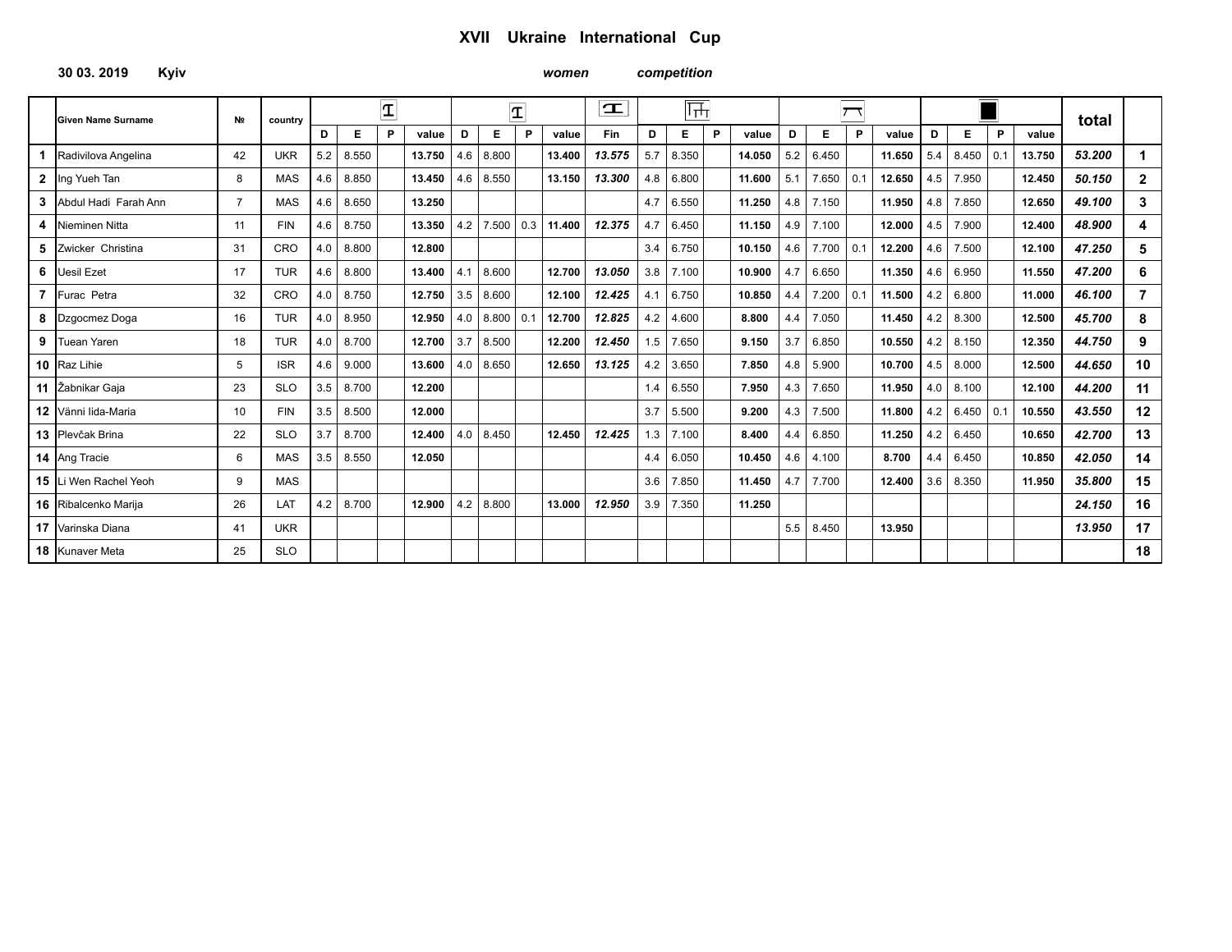**30 03. 2019 Kyiv** *women competition* 

|              | <b>Given Name Surname</b>    | N <sub>2</sub> | country    |     |       | $\overline{\mathbf{T}}$ |        |     |       | $\overline{\mathbf{T}}$ |        | $\mathbf T$ |     | फ़्त  |   |        |     |                  |             |        |     |       |     |        | total  |                |
|--------------|------------------------------|----------------|------------|-----|-------|-------------------------|--------|-----|-------|-------------------------|--------|-------------|-----|-------|---|--------|-----|------------------|-------------|--------|-----|-------|-----|--------|--------|----------------|
|              |                              |                |            | D   | Е     | P                       | value  | D   | Е     | P                       | value  | Fin         | D   | Е     | P | value  | D   | Е                | P           | value  | D   | E.    | P   | value  |        |                |
|              | Radivilova Angelina          | 42             | <b>UKR</b> | 5.2 | 8.550 |                         | 13.750 | 4.6 | 8.800 |                         | 13.400 | 13.575      | 5.7 | 8.350 |   | 14.050 | 5.2 | 6.450            |             | 11.650 | 5.4 | 8.450 | 0.1 | 13.750 | 53.200 |                |
| $\mathbf{2}$ | Ing Yueh Tan                 | 8              | <b>MAS</b> | 4.6 | 8.850 |                         | 13.450 | 4.6 | 8.550 |                         | 13.150 | 13.300      | 4.8 | 6.800 |   | 11.600 | 5.1 | 7.650            | $\vert 0.1$ | 12.650 | 4.5 | 7.950 |     | 12.450 | 50.150 | $\mathbf{2}$   |
| з            | Abdul Hadi Farah Ann         | $\overline{7}$ | <b>MAS</b> | 4.6 | 8.650 |                         | 13.250 |     |       |                         |        |             | 4.7 | 6.550 |   | 11.250 | 4.8 | 7.150            |             | 11.950 | 4.8 | 7.850 |     | 12.650 | 49.100 | 3              |
| 4            | Nieminen Nitta               | 11             | <b>FIN</b> | 4.6 | 8.750 |                         | 13.350 | 4.2 | 7.500 | 0.3                     | 11.400 | 12.375      | 4.7 | 6.450 |   | 11.150 | 4.9 | 7.100            |             | 12.000 | 4.5 | 7.900 |     | 12.400 | 48.900 | 4              |
| 5            | Zwicker Christina            | 31             | <b>CRO</b> | 4.0 | 8.800 |                         | 12.800 |     |       |                         |        |             | 3.4 | 6.750 |   | 10.150 | 4.6 | 7.700            | l 0.1       | 12.200 | 4.6 | 7.500 |     | 12.100 | 47.250 | 5              |
| 6            | <b>Uesil Ezet</b>            | 17             | <b>TUR</b> | 4.6 | 8.800 |                         | 13.400 | 4.1 | 8.600 |                         | 12.700 | 13.050      | 3.8 | 7.100 |   | 10.900 | 4.7 | 6.650            |             | 11.350 | 4.6 | 6.950 |     | 11.550 | 47.200 | 6              |
|              | 7 Furac Petra                | 32             | <b>CRO</b> | 4.0 | 8.750 |                         | 12.750 | 3.5 | 8.600 |                         | 12.100 | 12.425      | 4.1 | 6.750 |   | 10.850 | 4.4 | $7.200 \mid 0.1$ |             | 11.500 | 4.2 | 6.800 |     | 11.000 | 46.100 | $\overline{7}$ |
|              | 8 Dzgocmez Doga              | 16             | <b>TUR</b> | 4.0 | 8.950 |                         | 12.950 | 4.0 | 8.800 | 0.1                     | 12.700 | 12.825      | 4.2 | 4.600 |   | 8.800  | 4.4 | 7.050            |             | 11.450 | 4.2 | 8.300 |     | 12.500 | 45.700 | 8              |
| 9            | Tuean Yaren                  | 18             | <b>TUR</b> | 4.0 | 8.700 |                         | 12.700 | 3.7 | 8.500 |                         | 12.200 | 12.450      | 1.5 | 7.650 |   | 9.150  | 3.7 | 6.850            |             | 10.550 | 4.2 | 8.150 |     | 12.350 | 44.750 | 9              |
|              | 10 Raz Lihie                 | 5              | <b>ISR</b> | 4.6 | 9.000 |                         | 13.600 | 4.0 | 8.650 |                         | 12.650 | 13.125      | 4.2 | 3.650 |   | 7.850  | 4.8 | 5.900            |             | 10.700 | 4.5 | 8.000 |     | 12.500 | 44.650 | 10             |
|              | 11 Žabnikar Gaja             | 23             | <b>SLO</b> | 3.5 | 8.700 |                         | 12.200 |     |       |                         |        |             | 1.4 | 6.550 |   | 7.950  | 4.3 | 7.650            |             | 11.950 | 4.0 | 8.100 |     | 12.100 | 44.200 | 11             |
|              | 12 Vänni lida-Maria          | 10             | <b>FIN</b> | 3.5 | 8.500 |                         | 12.000 |     |       |                         |        |             | 3.7 | 5.500 |   | 9.200  | 4.3 | 7.500            |             | 11.800 | 4.2 | 6.450 | 0.1 | 10.550 | 43.550 | 12             |
|              | 13 Plevčak Brina             | 22             | <b>SLO</b> | 3.7 | 8.700 |                         | 12.400 | 4.0 | 8.450 |                         | 12.450 | 12.425      | 1.3 | 7.100 |   | 8.400  | 4.4 | 6.850            |             | 11.250 | 4.2 | 6.450 |     | 10.650 | 42.700 | 13             |
|              | <b>14</b> Ang Tracie         | 6              | <b>MAS</b> | 3.5 | 8.550 |                         | 12.050 |     |       |                         |        |             | 4.4 | 6.050 |   | 10.450 | 4.6 | 4.100            |             | 8.700  | 4.4 | 6.450 |     | 10.850 | 42.050 | 14             |
|              | <b>15</b> Li Wen Rachel Yeoh | q              | <b>MAS</b> |     |       |                         |        |     |       |                         |        |             | 3.6 | 7.850 |   | 11.450 | 4.7 | 7.700            |             | 12.400 | 3.6 | 8.350 |     | 11.950 | 35,800 | 15             |
|              | 16 Ribalcenko Marija         | 26             | LAT        | 4.2 | 8.700 |                         | 12.900 | 4.2 | 8.800 |                         | 13.000 | 12.950      | 3.9 | 7.350 |   | 11.250 |     |                  |             |        |     |       |     |        | 24.150 | 16             |
|              | 17 Varinska Diana            | 41             | <b>UKR</b> |     |       |                         |        |     |       |                         |        |             |     |       |   |        | 5.5 | 8.450            |             | 13.950 |     |       |     |        | 13.950 | 17             |
|              | <b>18</b> Kunaver Meta       | 25             | <b>SLO</b> |     |       |                         |        |     |       |                         |        |             |     |       |   |        |     |                  |             |        |     |       |     |        |        | 18             |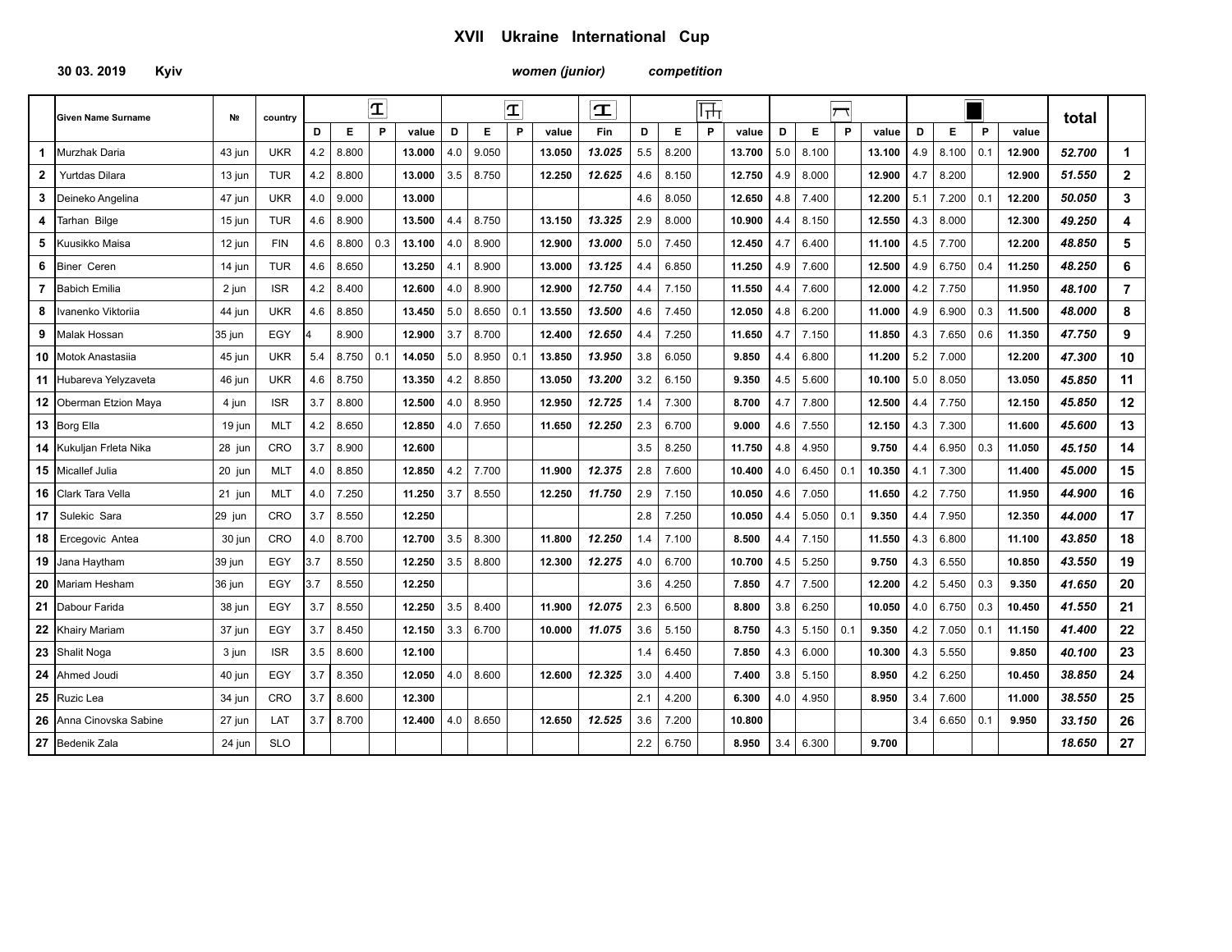*women (junior) competition* 

|              | <b>Given Name Surname</b> | N <sub>2</sub> | country    |     |       | $\mathbf{T}$ |        |     |       | $\mathbf{T}% _{M_{1},M_{2}}^{\alpha,\beta}(\mathbf{r})$ |        | $\mathbf T$ |     |       | $\overline{\mathbb{H}}$ |        |     |       |     |        |     |       |     |        | total  |                |
|--------------|---------------------------|----------------|------------|-----|-------|--------------|--------|-----|-------|---------------------------------------------------------|--------|-------------|-----|-------|-------------------------|--------|-----|-------|-----|--------|-----|-------|-----|--------|--------|----------------|
|              |                           |                |            | D   | Е     | P            | value  | D   | Е     | P                                                       | value  | Fin         | D   | Е     | P                       | value  | D   | Е     | P   | value  | D   | Е     | P   | value  |        |                |
| $\mathbf 1$  | Murzhak Daria             | 43 jun         | <b>UKR</b> | 4.2 | 8.800 |              | 13.000 | 4.0 | 9.050 |                                                         | 13.050 | 13.025      | 5.5 | 8.200 |                         | 13.700 | 5.0 | 8.100 |     | 13.100 | 4.9 | 8.100 | 0.1 | 12.900 | 52.700 | $\mathbf 1$    |
| $\mathbf{2}$ | <b>Yurtdas Dilara</b>     | 13 jun         | <b>TUR</b> | 4.2 | 8.800 |              | 13.000 | 3.5 | 8.750 |                                                         | 12.250 | 12.625      | 4.6 | 8.150 |                         | 12.750 | 4.9 | 8.000 |     | 12.900 | 4.7 | 8.200 |     | 12.900 | 51.550 | $\overline{2}$ |
| 3            | Deineko Angelina          | 47 jun         | <b>UKR</b> | 4.0 | 9.000 |              | 13.000 |     |       |                                                         |        |             | 4.6 | 8.050 |                         | 12.650 | 4.8 | 7.400 |     | 12.200 | 5.1 | 7.200 | 0.1 | 12.200 | 50.050 | 3              |
| 4            | Tarhan Bilge              | 15 jun         | <b>TUR</b> | 4.6 | 8.900 |              | 13.500 | 4.4 | 8.750 |                                                         | 13.150 | 13.325      | 2.9 | 8.000 |                         | 10.900 | 4.4 | 8.150 |     | 12.550 | 4.3 | 8.000 |     | 12.300 | 49.250 | 4              |
| 5            | Kuusikko Maisa            | 12 jun         | <b>FIN</b> | 4.6 | 8.800 | 0.3          | 13.100 | 4.0 | 8.900 |                                                         | 12.900 | 13.000      | 5.0 | 7.450 |                         | 12.450 | 4.7 | 6.400 |     | 11.100 | 4.5 | 7.700 |     | 12.200 | 48.850 | 5              |
| 6            | <b>Biner Ceren</b>        | 14 jun         | <b>TUR</b> | 4.6 | 8.650 |              | 13.250 | 4.1 | 8.900 |                                                         | 13.000 | 13.125      | 4.4 | 6.850 |                         | 11.250 | 4.9 | 7.600 |     | 12.500 | 4.9 | 6.750 | 0.4 | 11.250 | 48.250 | 6              |
| 7            | <b>Babich Emilia</b>      | 2 jun          | <b>ISR</b> | 4.2 | 8.400 |              | 12.600 | 4.0 | 8.900 |                                                         | 12.900 | 12.750      | 4.4 | 7.150 |                         | 11.550 | 4.4 | 7.600 |     | 12.000 | 4.2 | 7.750 |     | 11.950 | 48.100 | $\overline{7}$ |
| 8            | vanenko Viktoriia         | 44 jun         | <b>UKR</b> | 4.6 | 8.850 |              | 13.450 | 5.0 | 8.650 | 0.1                                                     | 13.550 | 13.500      | 4.6 | 7.450 |                         | 12.050 | 4.8 | 6.200 |     | 11.000 | 4.9 | 6.900 | 0.3 | 11.500 | 48.000 | 8              |
| 9            | <b>Malak Hossan</b>       | 35 jun         | EGY        |     | 8.900 |              | 12.900 | 3.7 | 8.700 |                                                         | 12.400 | 12.650      | 4.4 | 7.250 |                         | 11.650 | 4.7 | 7.150 |     | 11.850 | 4.3 | 7.650 | 0.6 | 11.350 | 47.750 | 9              |
|              | 10 Motok Anastasiia       | 45 jun         | <b>UKR</b> | 5.4 | 8.750 | 0.1          | 14.050 | 5.0 | 8.950 | 0.1                                                     | 13.850 | 13.950      | 3.8 | 6.050 |                         | 9.850  | 4.4 | 6.800 |     | 11.200 | 5.2 | 7.000 |     | 12.200 | 47.300 | 10             |
|              | 11 Hubareva Yelyzaveta    | 46 jun         | <b>UKR</b> | 4.6 | 8.750 |              | 13.350 | 4.2 | 8.850 |                                                         | 13.050 | 13.200      | 3.2 | 6.150 |                         | 9.350  | 4.5 | 5.600 |     | 10.100 | 5.0 | 8.050 |     | 13.050 | 45.850 | 11             |
|              | 12 Oberman Etzion Maya    | 4 jun          | <b>ISR</b> | 3.7 | 8.800 |              | 12.500 | 4.0 | 8.950 |                                                         | 12.950 | 12.725      | 1.4 | 7.300 |                         | 8.700  | 4.7 | 7.800 |     | 12.500 | 4.4 | 7.750 |     | 12.150 | 45.850 | 12             |
|              | 13 Borg Ella              | 19 jun         | <b>MLT</b> | 4.2 | 8.650 |              | 12.850 | 4.0 | 7.650 |                                                         | 11.650 | 12.250      | 2.3 | 6.700 |                         | 9.000  | 4.6 | 7.550 |     | 12.150 | 4.3 | 7.300 |     | 11.600 | 45.600 | 13             |
|              | 14 Kukuljan Frleta Nika   | 28 jun         | CRO        | 3.7 | 8.900 |              | 12.600 |     |       |                                                         |        |             | 3.5 | 8.250 |                         | 11.750 | 4.8 | 4.950 |     | 9.750  | 4.4 | 6.950 | 0.3 | 11.050 | 45.150 | 14             |
|              | 15 Micallef Julia         | 20 jun         | <b>MLT</b> | 4.0 | 8.850 |              | 12.850 | 4.2 | 7.700 |                                                         | 11.900 | 12.375      | 2.8 | 7.600 |                         | 10.400 | 4.0 | 6.450 | 0.1 | 10.350 | 4.1 | 7.300 |     | 11.400 | 45.000 | 15             |
|              | 16 Clark Tara Vella       | 21 jun         | <b>MLT</b> | 4.0 | 7.250 |              | 11.250 | 3.7 | 8.550 |                                                         | 12.250 | 11.750      | 2.9 | 7.150 |                         | 10.050 | 4.6 | 7.050 |     | 11.650 | 4.2 | 7.750 |     | 11.950 | 44.900 | 16             |
| 17           | Sulekic Sara              | 29 jun         | CRO        | 3.7 | 8.550 |              | 12.250 |     |       |                                                         |        |             | 2.8 | 7.250 |                         | 10.050 | 4.4 | 5.050 | 0.1 | 9.350  | 4.4 | 7.950 |     | 12.350 | 44.000 | 17             |
| 18           | Ercegovic Antea           | 30 jun         | CRO        | 4.0 | 8.700 |              | 12.700 | 3.5 | 8.300 |                                                         | 11.800 | 12.250      | 1.4 | 7.100 |                         | 8.500  | 4.4 | 7.150 |     | 11.550 | 4.3 | 6.800 |     | 11.100 | 43.850 | 18             |
|              | 19 Jana Haytham           | 39 jun         | EGY        | 3.7 | 8.550 |              | 12.250 | 3.5 | 8.800 |                                                         | 12.300 | 12.275      | 4.0 | 6.700 |                         | 10.700 | 4.5 | 5.250 |     | 9.750  | 4.3 | 6.550 |     | 10.850 | 43.550 | 19             |
| 20           | <b>Mariam Hesham</b>      | 36 jun         | EGY        | 3.7 | 8.550 |              | 12.250 |     |       |                                                         |        |             | 3.6 | 4.250 |                         | 7.850  | 4.7 | 7.500 |     | 12.200 | 4.2 | 5.450 | 0.3 | 9.350  | 41.650 | 20             |
| 21           | Dabour Farida             | 38 jun         | EGY        | 3.7 | 8.550 |              | 12.250 | 3.5 | 8.400 |                                                         | 11.900 | 12.075      | 2.3 | 6.500 |                         | 8.800  | 3.8 | 6.250 |     | 10.050 | 4.0 | 6.750 | 0.3 | 10.450 | 41.550 | 21             |
|              | 22 Khairy Mariam          | 37 jun         | EGY        | 3.7 | 8.450 |              | 12.150 | 3.3 | 6.700 |                                                         | 10.000 | 11.075      | 3.6 | 5.150 |                         | 8.750  | 4.3 | 5.150 | 0.1 | 9.350  | 4.2 | 7.050 | 0.1 | 11.150 | 41.400 | 22             |
|              | 23 Shalit Noga            | 3 jun          | <b>ISR</b> | 3.5 | 8.600 |              | 12.100 |     |       |                                                         |        |             | 1.4 | 6.450 |                         | 7.850  | 4.3 | 6.000 |     | 10.300 | 4.3 | 5.550 |     | 9.850  | 40.100 | 23             |
|              | 24 Ahmed Joudi            | 40 jun         | EGY        | 3.7 | 8.350 |              | 12.050 | 4.0 | 8.600 |                                                         | 12.600 | 12.325      | 3.0 | 4.400 |                         | 7.400  | 3.8 | 5.150 |     | 8.950  | 4.2 | 6.250 |     | 10.450 | 38.850 | 24             |
| 25           | Ruzic Lea                 | 34 jun         | CRO        | 3.7 | 8.600 |              | 12.300 |     |       |                                                         |        |             | 2.1 | 4.200 |                         | 6.300  | 4.0 | 4.950 |     | 8.950  | 3.4 | 7.600 |     | 11.000 | 38.550 | 25             |
|              | 26 Anna Cinovska Sabine   | 27 jun         | LAT        | 3.7 | 8.700 |              | 12.400 | 4.0 | 8.650 |                                                         | 12.650 | 12.525      | 3.6 | 7.200 |                         | 10.800 |     |       |     |        | 3.4 | 6.650 | 0.1 | 9.950  | 33.150 | 26             |
|              | 27 Bedenik Zala           | 24 jun         | <b>SLO</b> |     |       |              |        |     |       |                                                         |        |             | 2.2 | 6.750 |                         | 8.950  | 3.4 | 6.300 |     | 9.700  |     |       |     |        | 18.650 | 27             |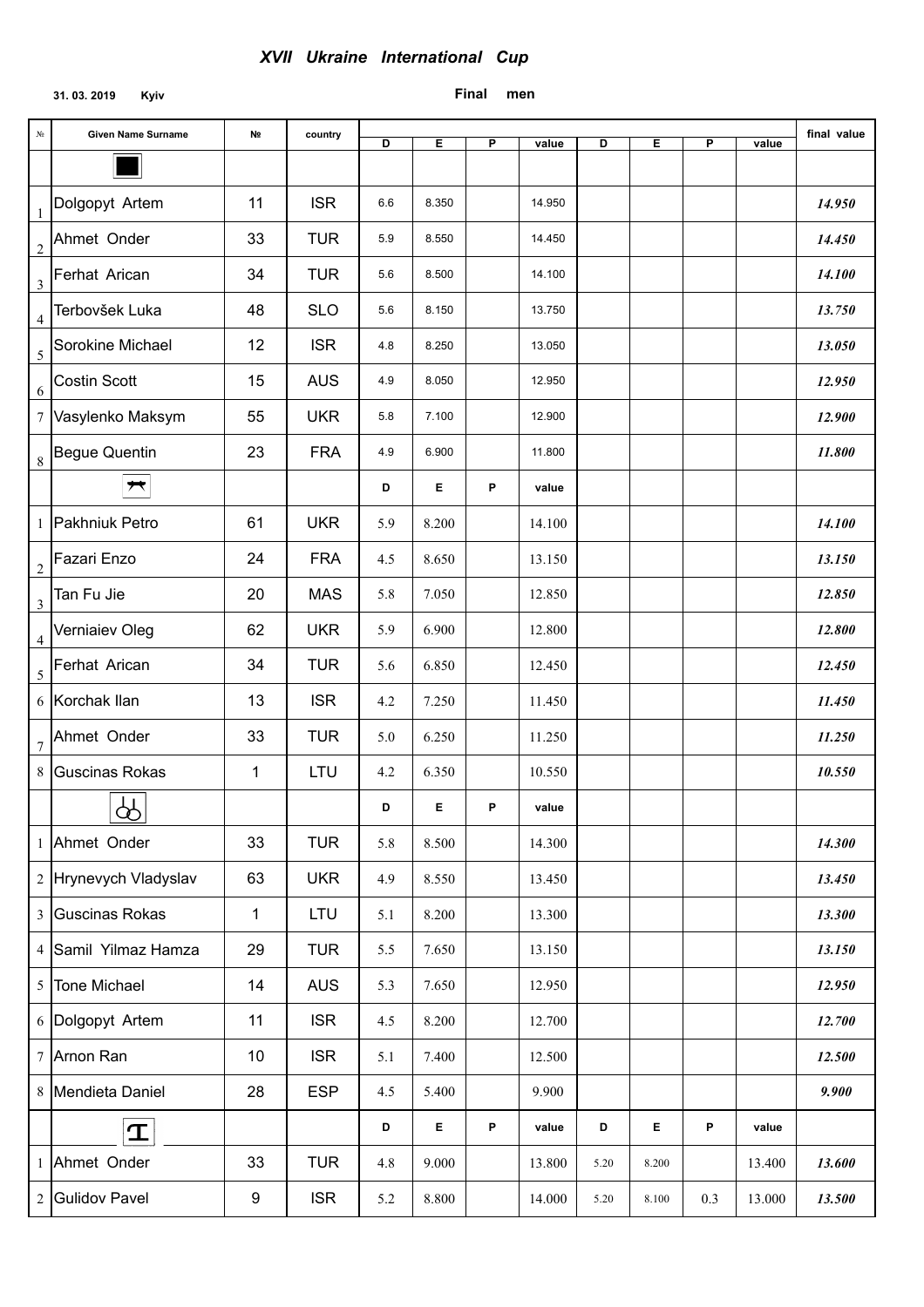## **31. 03. 2019 Kyiv**

# **Final men**

| No             | <b>Given Name Surname</b> | N <sub>2</sub> | country    | D   | Ε     | P | value  | D    | Е         | P   | value  | final value |
|----------------|---------------------------|----------------|------------|-----|-------|---|--------|------|-----------|-----|--------|-------------|
|                |                           |                |            |     |       |   |        |      |           |     |        |             |
| $\mathbf{1}$   | Dolgopyt Artem            | 11             | <b>ISR</b> | 6.6 | 8.350 |   | 14.950 |      |           |     |        | 14.950      |
| $\overline{c}$ | Ahmet Onder               | 33             | <b>TUR</b> | 5.9 | 8.550 |   | 14.450 |      |           |     |        | 14.450      |
| $\mathfrak{Z}$ | Ferhat Arican             | 34             | <b>TUR</b> | 5.6 | 8.500 |   | 14.100 |      |           |     |        | 14.100      |
| $\overline{4}$ | Terbovšek Luka            | 48             | <b>SLO</b> | 5.6 | 8.150 |   | 13.750 |      |           |     |        | 13.750      |
| 5              | Sorokine Michael          | 12             | <b>ISR</b> | 4.8 | 8.250 |   | 13.050 |      |           |     |        | 13.050      |
| 6              | Costin Scott              | 15             | <b>AUS</b> | 4.9 | 8.050 |   | 12.950 |      |           |     |        | 12.950      |
| $\tau$         | Vasylenko Maksym          | 55             | <b>UKR</b> | 5.8 | 7.100 |   | 12.900 |      |           |     |        | 12.900      |
| $\,8\,$        | <b>Begue Quentin</b>      | 23             | <b>FRA</b> | 4.9 | 6.900 |   | 11.800 |      |           |     |        | 11.800      |
|                | $\bigstar$                |                |            | D   | Е     | P | value  |      |           |     |        |             |
| $\mathbf{1}$   | Pakhniuk Petro            | 61             | <b>UKR</b> | 5.9 | 8.200 |   | 14.100 |      |           |     |        | 14.100      |
| $\overline{2}$ | Fazari Enzo               | 24             | <b>FRA</b> | 4.5 | 8.650 |   | 13.150 |      |           |     |        | 13.150      |
| $\mathfrak{Z}$ | Tan Fu Jie                | 20             | <b>MAS</b> | 5.8 | 7.050 |   | 12.850 |      |           |     |        | 12.850      |
| $\overline{4}$ | Verniaiev Oleg            | 62             | <b>UKR</b> | 5.9 | 6.900 |   | 12.800 |      |           |     |        | 12.800      |
| 5              | Ferhat Arican             | 34             | <b>TUR</b> | 5.6 | 6.850 |   | 12.450 |      |           |     |        | 12.450      |
| 6              | Korchak Ilan              | 13             | <b>ISR</b> | 4.2 | 7.250 |   | 11.450 |      |           |     |        | 11.450      |
| 7              | Ahmet Onder               | 33             | <b>TUR</b> | 5.0 | 6.250 |   | 11.250 |      |           |     |        | 11.250      |
| 8              | Guscinas Rokas            | 1              | <b>LTU</b> | 4.2 | 6.350 |   | 10.550 |      |           |     |        | 10.550      |
|                | $\boxed{\mathcal{P}}$     |                |            | D   | Е     | P | value  |      |           |     |        |             |
|                | 1 Ahmet Onder             | 33             | <b>TUR</b> | 5.8 | 8.500 |   | 14.300 |      |           |     |        | 14.300      |
|                | 2 Hrynevych Vladyslav     | 63             | <b>UKR</b> | 4.9 | 8.550 |   | 13.450 |      |           |     |        | 13.450      |
| $\overline{3}$ | Guscinas Rokas            | 1              | LTU        | 5.1 | 8.200 |   | 13.300 |      |           |     |        | 13.300      |
| $\overline{4}$ | Samil Yilmaz Hamza        | 29             | <b>TUR</b> | 5.5 | 7.650 |   | 13.150 |      |           |     |        | 13.150      |
| 5              | <b>Tone Michael</b>       | 14             | <b>AUS</b> | 5.3 | 7.650 |   | 12.950 |      |           |     |        | 12.950      |
|                | 6 Dolgopyt Artem          | 11             | <b>ISR</b> | 4.5 | 8.200 |   | 12.700 |      |           |     |        | 12.700      |
|                | 7 Arnon Ran               | 10             | <b>ISR</b> | 5.1 | 7.400 |   | 12.500 |      |           |     |        | 12.500      |
|                | 8 Mendieta Daniel         | 28             | <b>ESP</b> | 4.5 | 5.400 |   | 9.900  |      |           |     |        | 9.900       |
|                | $\mathbf T$               |                |            | D   | Е     | P | value  | D    | Е         | P   | value  |             |
| $\mathbf{1}$   | Ahmet Onder               | 33             | <b>TUR</b> | 4.8 | 9.000 |   | 13.800 | 5.20 | 8.200     |     | 13.400 | 13.600      |
| $\overline{c}$ | <b>Gulidov Pavel</b>      | 9              | <b>ISR</b> | 5.2 | 8.800 |   | 14.000 | 5.20 | $8.100\,$ | 0.3 | 13.000 | 13.500      |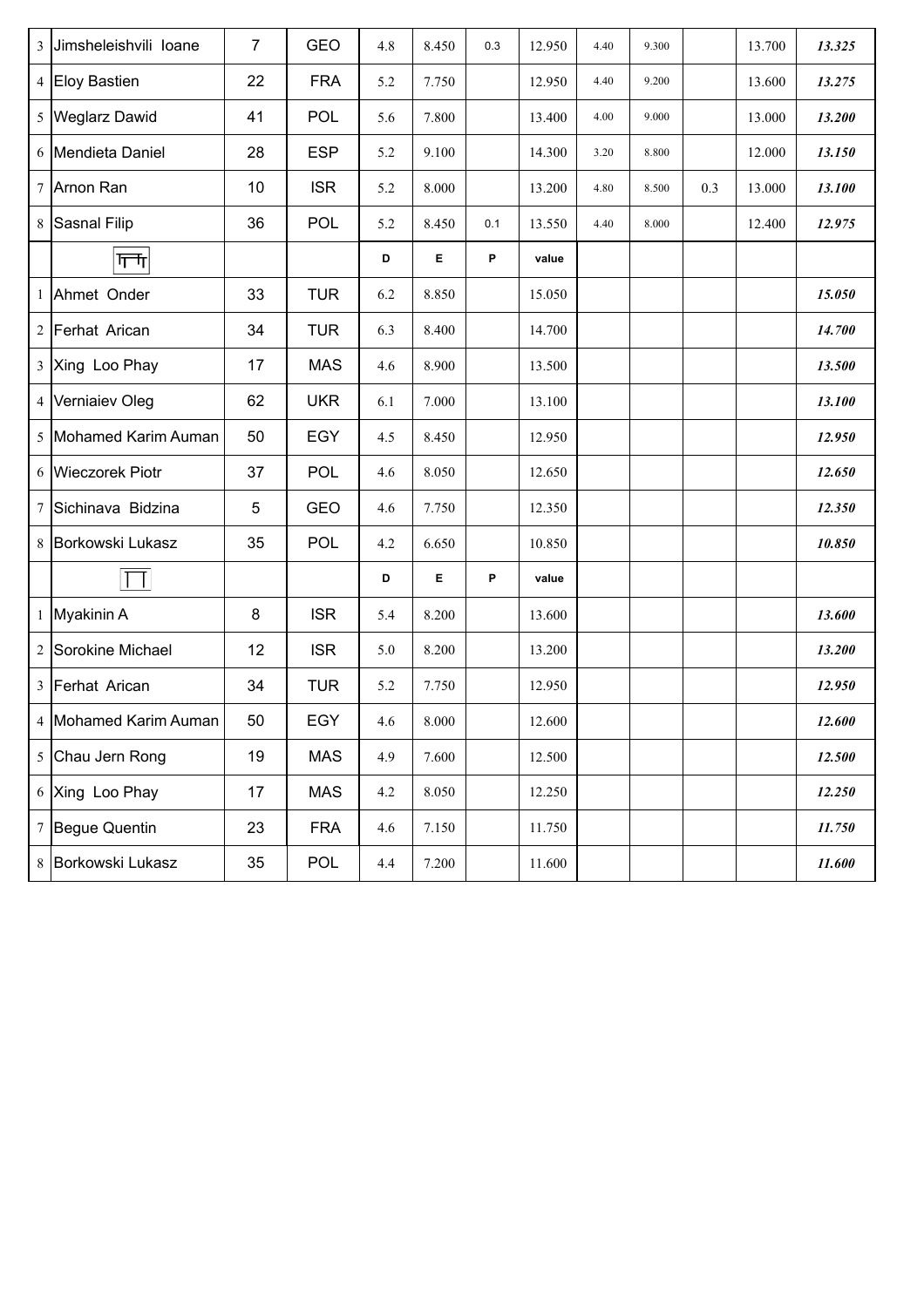| $\overline{3}$ | Jimsheleishvili loane | $\overline{7}$ | <b>GEO</b> | 4.8 | 8.450 | 0.3 | 12.950 | 4.40 | 9.300 |     | 13.700 | 13.325 |
|----------------|-----------------------|----------------|------------|-----|-------|-----|--------|------|-------|-----|--------|--------|
|                | 4 Eloy Bastien        | 22             | <b>FRA</b> | 5.2 | 7.750 |     | 12.950 | 4.40 | 9.200 |     | 13.600 | 13.275 |
| 5              | <b>Weglarz Dawid</b>  | 41             | POL        | 5.6 | 7.800 |     | 13.400 | 4.00 | 9.000 |     | 13.000 | 13.200 |
|                | 6 Mendieta Daniel     | 28             | <b>ESP</b> | 5.2 | 9.100 |     | 14.300 | 3.20 | 8.800 |     | 12.000 | 13.150 |
|                | 7 Arnon Ran           | 10             | <b>ISR</b> | 5.2 | 8.000 |     | 13.200 | 4.80 | 8.500 | 0.3 | 13.000 | 13.100 |
| 8              | Sasnal Filip          | 36             | POL        | 5.2 | 8.450 | 0.1 | 13.550 | 4.40 | 8.000 |     | 12.400 | 12.975 |
|                | गणि                   |                |            | D   | E.    | P   | value  |      |       |     |        |        |
| $\mathbf{1}$   | Ahmet Onder           | 33             | <b>TUR</b> | 6.2 | 8.850 |     | 15.050 |      |       |     |        | 15.050 |
| $\overline{2}$ | Ferhat Arican         | 34             | <b>TUR</b> | 6.3 | 8.400 |     | 14.700 |      |       |     |        | 14.700 |
|                | 3 Xing Loo Phay       | 17             | <b>MAS</b> | 4.6 | 8.900 |     | 13.500 |      |       |     |        | 13.500 |
|                | 4 Verniaiev Oleg      | 62             | <b>UKR</b> | 6.1 | 7.000 |     | 13.100 |      |       |     |        | 13.100 |
|                | 5 Mohamed Karim Auman | 50             | <b>EGY</b> | 4.5 | 8.450 |     | 12.950 |      |       |     |        | 12.950 |
|                | 6 Wieczorek Piotr     | 37             | POL        | 4.6 | 8.050 |     | 12.650 |      |       |     |        | 12.650 |
| 7              | Sichinava Bidzina     | 5              | <b>GEO</b> | 4.6 | 7.750 |     | 12.350 |      |       |     |        | 12.350 |
| 8              | Borkowski Lukasz      | 35             | POL        | 4.2 | 6.650 |     | 10.850 |      |       |     |        | 10.850 |
|                | Τ                     |                |            | D   | E     | P   | value  |      |       |     |        |        |
|                | 1 Myakinin A          | 8              | <b>ISR</b> | 5.4 | 8.200 |     | 13.600 |      |       |     |        | 13.600 |
| $\overline{2}$ | Sorokine Michael      | 12             | <b>ISR</b> | 5.0 | 8.200 |     | 13.200 |      |       |     |        | 13.200 |
| $\overline{3}$ | Ferhat Arican         | 34             | <b>TUR</b> | 5.2 | 7.750 |     | 12.950 |      |       |     |        | 12.950 |
|                | 4 Mohamed Karim Auman | 50             | EGY        | 4.6 | 8.000 |     | 12.600 |      |       |     |        | 12.600 |
|                | 5 Chau Jern Rong      | 19             | <b>MAS</b> | 4.9 | 7.600 |     | 12.500 |      |       |     |        | 12.500 |
|                | 6 Xing Loo Phay       | 17             | <b>MAS</b> | 4.2 | 8.050 |     | 12.250 |      |       |     |        | 12.250 |
|                | 7 Begue Quentin       | 23             | <b>FRA</b> | 4.6 | 7.150 |     | 11.750 |      |       |     |        | 11.750 |
|                | 8 Borkowski Lukasz    | 35             | POL        | 4.4 | 7.200 |     | 11.600 |      |       |     |        | 11.600 |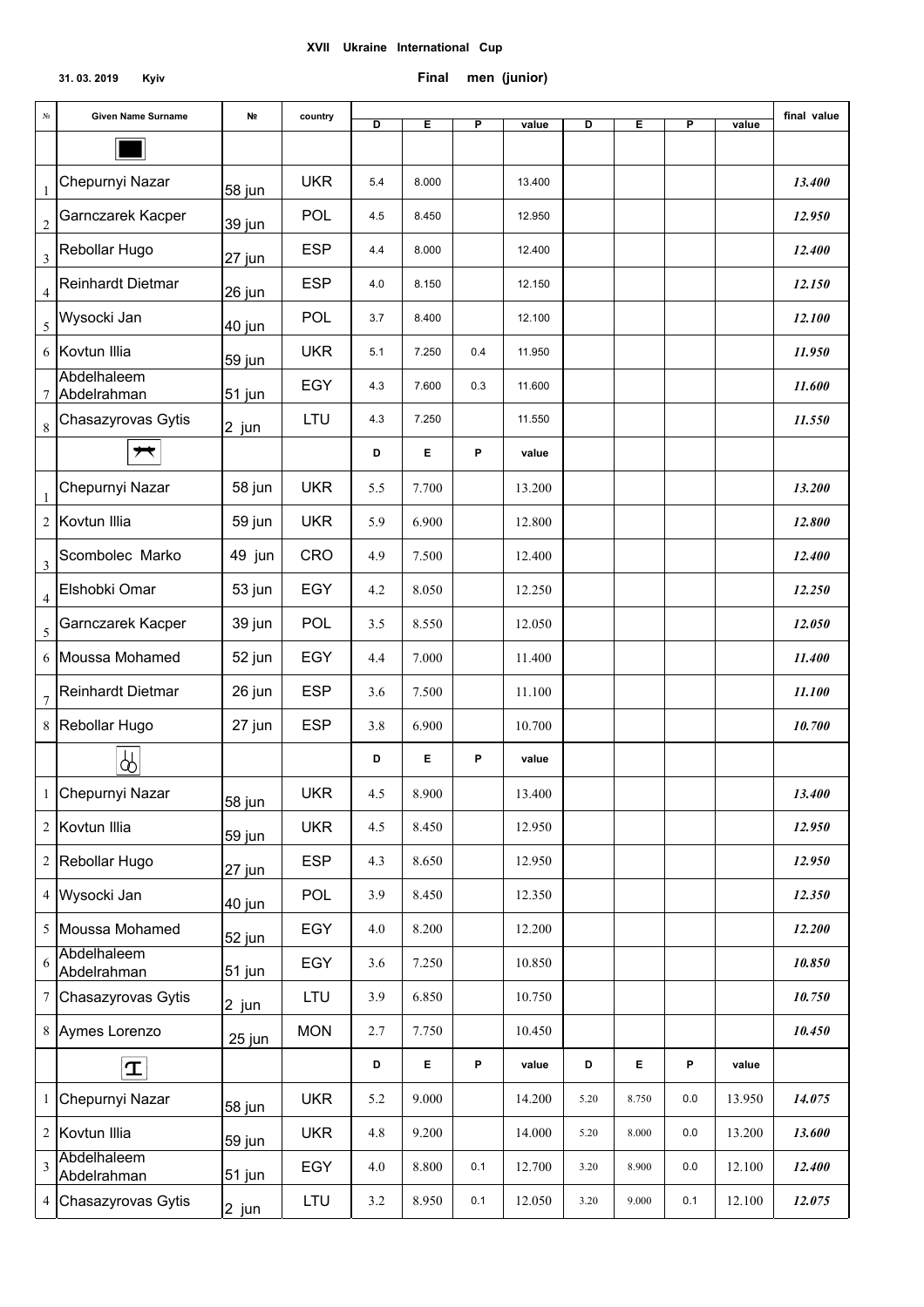### **31. 03. 2019 Kyiv Final men (junior)**

| N <sub>0</sub>          | Given Name Surname         | N <sub>2</sub> | country    | D   | E     | P   | value  | D    | E     | P           | value  | final value |
|-------------------------|----------------------------|----------------|------------|-----|-------|-----|--------|------|-------|-------------|--------|-------------|
|                         |                            |                |            |     |       |     |        |      |       |             |        |             |
| 1                       | Chepurnyi Nazar            | 58 jun         | <b>UKR</b> | 5.4 | 8.000 |     | 13.400 |      |       |             |        | 13.400      |
| $\overline{\mathbf{c}}$ | Garnczarek Kacper          | 39 jun         | POL        | 4.5 | 8.450 |     | 12.950 |      |       |             |        | 12.950      |
| 3                       | Rebollar Hugo              | 27 jun         | <b>ESP</b> | 4.4 | 8.000 |     | 12.400 |      |       |             |        | 12.400      |
| 4                       | Reinhardt Dietmar          | 26 jun         | <b>ESP</b> | 4.0 | 8.150 |     | 12.150 |      |       |             |        | 12.150      |
| 5                       | Wysocki Jan                | 40 jun         | POL        | 3.7 | 8.400 |     | 12.100 |      |       |             |        | 12.100      |
|                         | 6 Kovtun Illia             | 59 jun         | <b>UKR</b> | 5.1 | 7.250 | 0.4 | 11.950 |      |       |             |        | 11.950      |
| 7                       | Abdelhaleem<br>Abdelrahman | 51 jun         | EGY        | 4.3 | 7.600 | 0.3 | 11.600 |      |       |             |        | 11.600      |
| 8                       | Chasazyrovas Gytis         | 2 jun          | LTU        | 4.3 | 7.250 |     | 11.550 |      |       |             |        | 11.550      |
|                         | $\overline{\phantom{a}}$   |                |            | D   | Е     | P   | value  |      |       |             |        |             |
| 1                       | Chepurnyi Nazar            | 58 jun         | <b>UKR</b> | 5.5 | 7.700 |     | 13.200 |      |       |             |        | 13.200      |
| 2                       | Kovtun Illia               | 59 jun         | <b>UKR</b> | 5.9 | 6.900 |     | 12.800 |      |       |             |        | 12.800      |
| 3                       | Scombolec Marko            | 49 jun         | <b>CRO</b> | 4.9 | 7.500 |     | 12.400 |      |       |             |        | 12.400      |
| 4                       | Elshobki Omar              | 53 jun         | EGY        | 4.2 | 8.050 |     | 12.250 |      |       |             |        | 12.250      |
| 5                       | Garnczarek Kacper          | 39 jun         | POL        | 3.5 | 8.550 |     | 12.050 |      |       |             |        | 12.050      |
|                         | 6 Moussa Mohamed           | 52 jun         | EGY        | 4.4 | 7.000 |     | 11.400 |      |       |             |        | 11.400      |
| 7                       | Reinhardt Dietmar          | 26 jun         | <b>ESP</b> | 3.6 | 7.500 |     | 11.100 |      |       |             |        | 11.100      |
| 8                       | Rebollar Hugo              | 27 jun         | <b>ESP</b> | 3.8 | 6.900 |     | 10.700 |      |       |             |        | 10.700      |
|                         | ₩                          |                |            | D   | E.    | P   | value  |      |       |             |        |             |
|                         | Chepurnyi Nazar            | 58 jun         | <b>UKR</b> | 4.5 | 8.900 |     | 13.400 |      |       |             |        | 13.400      |
|                         | 2 Kovtun Illia             | 59 jun         | <b>UKR</b> | 4.5 | 8.450 |     | 12.950 |      |       |             |        | 12.950      |
|                         | 2 Rebollar Hugo            | 27 jun         | <b>ESP</b> | 4.3 | 8.650 |     | 12.950 |      |       |             |        | 12.950      |
|                         | 4 Wysocki Jan              | 40 jun         | POL        | 3.9 | 8.450 |     | 12.350 |      |       |             |        | 12.350      |
|                         | 5 Moussa Mohamed           | 52 jun         | EGY        | 4.0 | 8.200 |     | 12.200 |      |       |             |        | 12.200      |
| 6                       | Abdelhaleem<br>Abdelrahman | 51 jun         | EGY        | 3.6 | 7.250 |     | 10.850 |      |       |             |        | 10.850      |
|                         | 7 Chasazyrovas Gytis       | 2 jun          | LTU        | 3.9 | 6.850 |     | 10.750 |      |       |             |        | 10.750      |
|                         | 8 Aymes Lorenzo            | 25 jun         | <b>MON</b> | 2.7 | 7.750 |     | 10.450 |      |       |             |        | 10.450      |
|                         | $\vert \mathbf{T} \vert$   |                |            | D   | E.    | P   | value  | D    | E.    | $\mathsf P$ | value  |             |
|                         | 1 Chepurnyi Nazar          | 58 jun         | <b>UKR</b> | 5.2 | 9.000 |     | 14.200 | 5.20 | 8.750 | 0.0         | 13.950 | 14.075      |
|                         | 2 Kovtun Illia             | 59 jun         | <b>UKR</b> | 4.8 | 9.200 |     | 14.000 | 5.20 | 8.000 | $0.0\,$     | 13.200 | 13.600      |
| 3                       | Abdelhaleem<br>Abdelrahman | $51$ jun       | EGY        | 4.0 | 8.800 | 0.1 | 12.700 | 3.20 | 8.900 | 0.0         | 12.100 | 12.400      |
|                         | 4 Chasazyrovas Gytis       | 2 jun          | LTU        | 3.2 | 8.950 | 0.1 | 12.050 | 3.20 | 9.000 | 0.1         | 12.100 | 12.075      |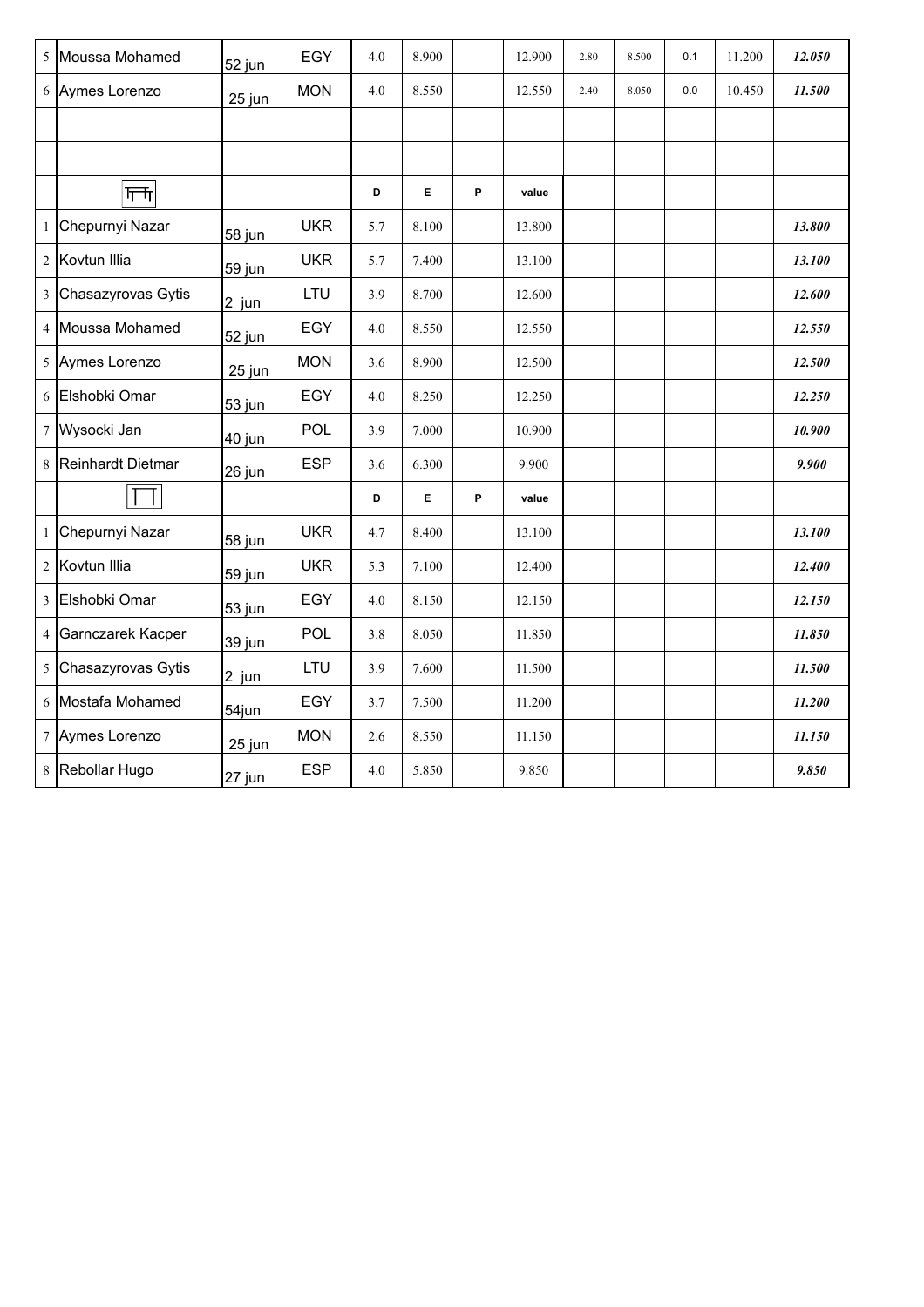|                | 5 Moussa Mohamed   | 52 jun  | EGY        | 4.0     | 8.900 |   | 12.900 | 2.80 | 8.500 | 0.1 | 11.200 | 12.050 |
|----------------|--------------------|---------|------------|---------|-------|---|--------|------|-------|-----|--------|--------|
| 6              | Aymes Lorenzo      | 25 jun  | <b>MON</b> | 4.0     | 8.550 |   | 12.550 | 2.40 | 8.050 | 0.0 | 10.450 | 11.500 |
|                |                    |         |            |         |       |   |        |      |       |     |        |        |
|                |                    |         |            |         |       |   |        |      |       |     |        |        |
|                | गणि                |         |            | D       | E.    | P | value  |      |       |     |        |        |
| 1              | Chepurnyi Nazar    | 58 jun  | <b>UKR</b> | 5.7     | 8.100 |   | 13.800 |      |       |     |        | 13.800 |
| $\overline{2}$ | Kovtun Illia       | 59 jun  | <b>UKR</b> | 5.7     | 7.400 |   | 13.100 |      |       |     |        | 13.100 |
| $\mathfrak{Z}$ | Chasazyrovas Gytis | $2$ jun | LTU        | 3.9     | 8.700 |   | 12.600 |      |       |     |        | 12.600 |
|                | 4 Moussa Mohamed   | 52 jun  | EGY        | 4.0     | 8.550 |   | 12.550 |      |       |     |        | 12.550 |
| 5              | Aymes Lorenzo      | 25 jun  | <b>MON</b> | 3.6     | 8.900 |   | 12.500 |      |       |     |        | 12.500 |
| 6              | Elshobki Omar      | 53 jun  | EGY        | $4.0\,$ | 8.250 |   | 12.250 |      |       |     |        | 12.250 |
|                | 7 Wysocki Jan      | 40 jun  | POL        | 3.9     | 7.000 |   | 10.900 |      |       |     |        | 10.900 |
| 8              | Reinhardt Dietmar  | 26 jun  | <b>ESP</b> | 3.6     | 6.300 |   | 9.900  |      |       |     |        | 9.900  |
|                | $\mathbf{I}$       |         |            | D       | E.    | P | value  |      |       |     |        |        |
| $\mathbf{1}$   | Chepurnyi Nazar    | 58 jun  | <b>UKR</b> | 4.7     | 8.400 |   | 13.100 |      |       |     |        | 13.100 |
|                | 2 Kovtun Illia     | 59 jun  | <b>UKR</b> | 5.3     | 7.100 |   | 12.400 |      |       |     |        | 12.400 |
| $\overline{3}$ | Elshobki Omar      | 53 jun  | EGY        | 4.0     | 8.150 |   | 12.150 |      |       |     |        | 12.150 |
| $\overline{4}$ | Garnczarek Kacper  | 39 jun  | POL        | 3.8     | 8.050 |   | 11.850 |      |       |     |        | 11.850 |
| 5 <sup>5</sup> | Chasazyrovas Gytis | 2 jun   | LTU        | 3.9     | 7.600 |   | 11.500 |      |       |     |        | 11.500 |
| 6              | Mostafa Mohamed    | 54jun   | EGY        | 3.7     | 7.500 |   | 11.200 |      |       |     |        | 11.200 |
|                | 7 Aymes Lorenzo    | 25 jun  | <b>MON</b> | 2.6     | 8.550 |   | 11.150 |      |       |     |        | 11.150 |
|                | 8 Rebollar Hugo    | 27 jun  | <b>ESP</b> | $4.0\,$ | 5.850 |   | 9.850  |      |       |     |        | 9.850  |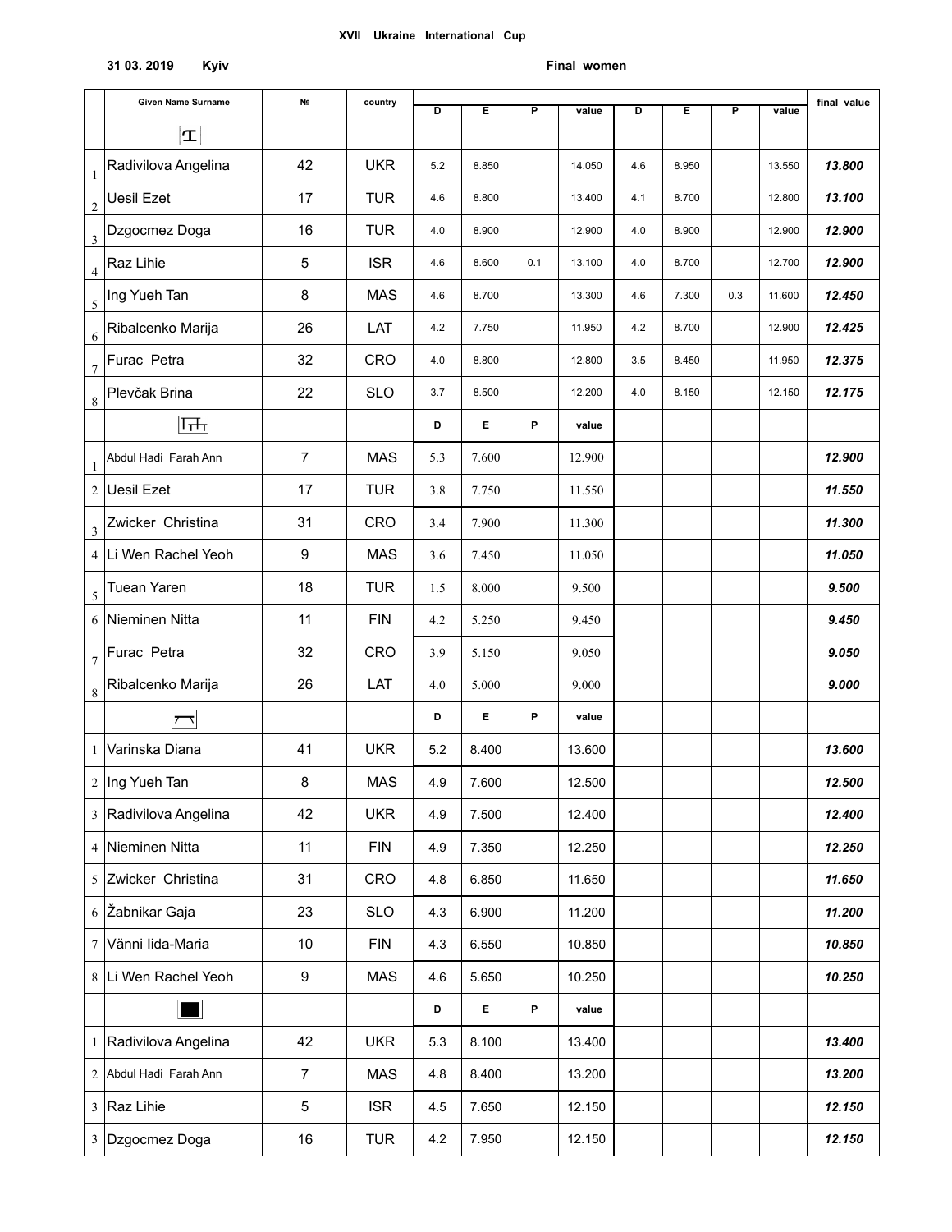#### **31 03. 2019 Kyiv**

#### **Final women**

|                             | Given Name Surname     | N <sub>2</sub>   | country    | D   | Е     | P   | value  | D   | Е     | P   | value  | final value |
|-----------------------------|------------------------|------------------|------------|-----|-------|-----|--------|-----|-------|-----|--------|-------------|
|                             | $ \mathbf{T} $         |                  |            |     |       |     |        |     |       |     |        |             |
| $\boxed{1}$                 | Radivilova Angelina    | 42               | <b>UKR</b> | 5.2 | 8.850 |     | 14.050 | 4.6 | 8.950 |     | 13.550 | 13.800      |
| $\overline{2}$              | <b>Uesil Ezet</b>      | 17               | <b>TUR</b> | 4.6 | 8.800 |     | 13.400 | 4.1 | 8.700 |     | 12.800 | 13.100      |
| $\overline{\mathbf{3}}$     | Dzgocmez Doga          | 16               | <b>TUR</b> | 4.0 | 8.900 |     | 12.900 | 4.0 | 8.900 |     | 12.900 | 12.900      |
| $\overline{4}$              | Raz Lihie              | 5                | <b>ISR</b> | 4.6 | 8.600 | 0.1 | 13.100 | 4.0 | 8.700 |     | 12.700 | 12.900      |
| $\overline{5}$              | Ing Yueh Tan           | 8                | <b>MAS</b> | 4.6 | 8.700 |     | 13.300 | 4.6 | 7.300 | 0.3 | 11.600 | 12.450      |
| $6\,$                       | Ribalcenko Marija      | 26               | LAT        | 4.2 | 7.750 |     | 11.950 | 4.2 | 8.700 |     | 12.900 | 12.425      |
| $\tau$                      | Furac Petra            | 32               | CRO        | 4.0 | 8.800 |     | 12.800 | 3.5 | 8.450 |     | 11.950 | 12.375      |
| $\, 8$                      | Plevčak Brina          | 22               | <b>SLO</b> | 3.7 | 8.500 |     | 12.200 | 4.0 | 8.150 |     | 12.150 | 12.175      |
|                             | ∣न्न्नन∣               |                  |            | D   | Ε     | P   | value  |     |       |     |        |             |
| $\mathbf{1}$                | Abdul Hadi Farah Ann   | $\overline{7}$   | <b>MAS</b> | 5.3 | 7.600 |     | 12.900 |     |       |     |        | 12.900      |
| 2                           | Uesil Ezet             | 17               | <b>TUR</b> | 3.8 | 7.750 |     | 11.550 |     |       |     |        | 11.550      |
| $\ensuremath{\mathfrak{Z}}$ | Zwicker Christina      | 31               | <b>CRO</b> | 3.4 | 7.900 |     | 11.300 |     |       |     |        | 11.300      |
| 4                           | Li Wen Rachel Yeoh     | 9                | <b>MAS</b> | 3.6 | 7.450 |     | 11.050 |     |       |     |        | 11.050      |
| 5                           | Tuean Yaren            | 18               | <b>TUR</b> | 1.5 | 8.000 |     | 9.500  |     |       |     |        | 9.500       |
|                             | 6 Nieminen Nitta       | 11               | <b>FIN</b> | 4.2 | 5.250 |     | 9.450  |     |       |     |        | 9.450       |
| $\boldsymbol{7}$            | Furac Petra            | 32               | CRO        | 3.9 | 5.150 |     | 9.050  |     |       |     |        | 9.050       |
| 8                           | Ribalcenko Marija      | 26               | LAT        | 4.0 | 5.000 |     | 9.000  |     |       |     |        | 9.000       |
|                             | ᅐ                      |                  |            | D   | Е     | P   | value  |     |       |     |        |             |
| 1                           | Varinska Diana         | 41               | <b>UKR</b> | 5.2 | 8.400 |     | 13.600 |     |       |     |        | 13.600      |
|                             | 2 Ing Yueh Tan         | 8                | MAS        | 4.9 | 7.600 |     | 12.500 |     |       |     |        | 12.500      |
|                             | 3 Radivilova Angelina  | 42               | <b>UKR</b> | 4.9 | 7.500 |     | 12.400 |     |       |     |        | 12.400      |
|                             | 4 Nieminen Nitta       | 11               | <b>FIN</b> | 4.9 | 7.350 |     | 12.250 |     |       |     |        | 12.250      |
|                             | 5 Zwicker Christina    | 31               | CRO        | 4.8 | 6.850 |     | 11.650 |     |       |     |        | 11.650      |
|                             | 6 Žabnikar Gaja        | 23               | <b>SLO</b> | 4.3 | 6.900 |     | 11.200 |     |       |     |        | 11.200      |
|                             | 7 Vänni lida-Maria     | 10               | <b>FIN</b> | 4.3 | 6.550 |     | 10.850 |     |       |     |        | 10.850      |
|                             | 8 Li Wen Rachel Yeoh   | $\boldsymbol{9}$ | <b>MAS</b> | 4.6 | 5.650 |     | 10.250 |     |       |     |        | 10.250      |
|                             |                        |                  |            | D   | E     | P   | value  |     |       |     |        |             |
|                             | 1 Radivilova Angelina  | 42               | <b>UKR</b> | 5.3 | 8.100 |     | 13.400 |     |       |     |        | 13.400      |
|                             | 2 Abdul Hadi Farah Ann | $\overline{7}$   | <b>MAS</b> | 4.8 | 8.400 |     | 13.200 |     |       |     |        | 13.200      |
|                             | 3 Raz Lihie            | 5                | <b>ISR</b> | 4.5 | 7.650 |     | 12.150 |     |       |     |        | 12.150      |
|                             | 3 Dzgocmez Doga        | 16               | <b>TUR</b> | 4.2 | 7.950 |     | 12.150 |     |       |     |        | 12.150      |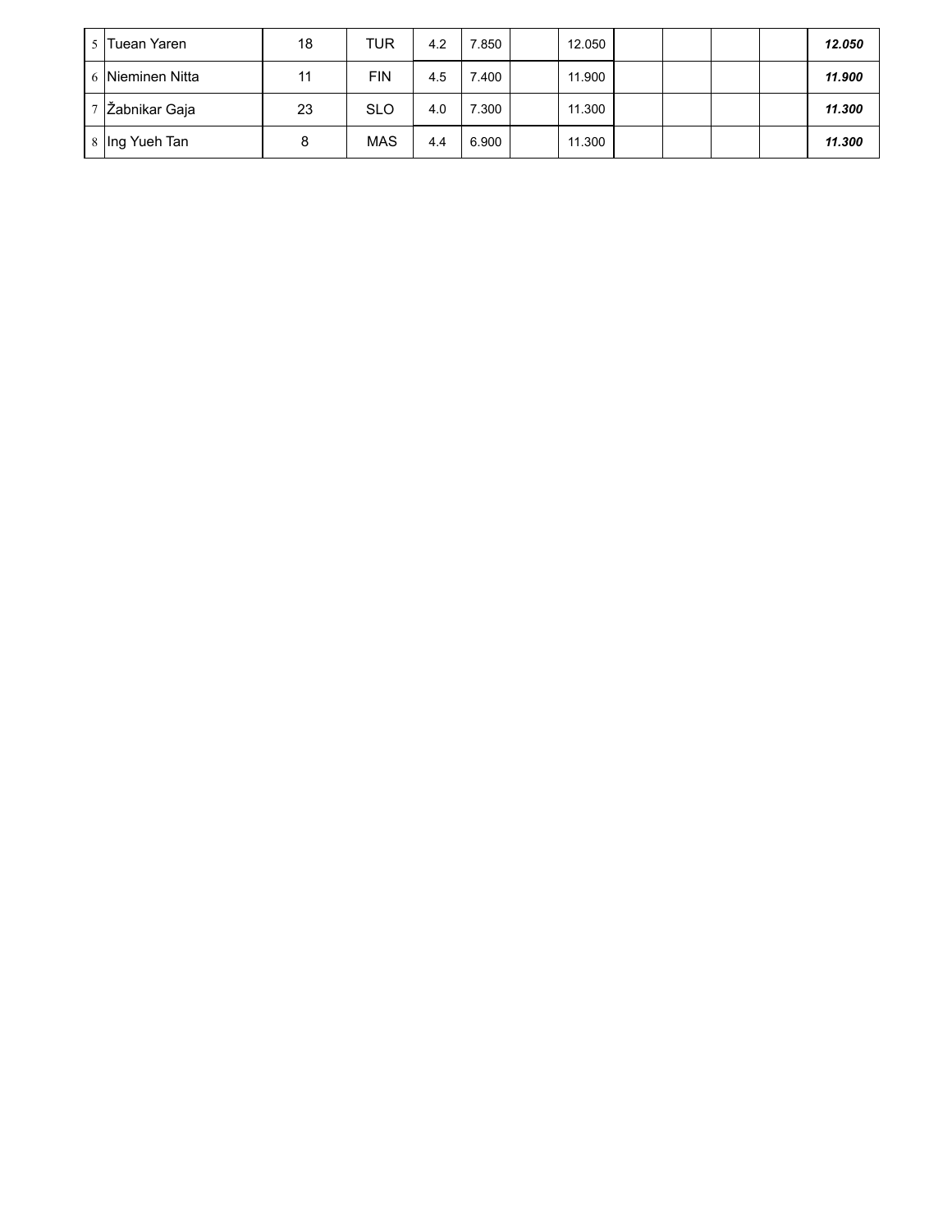| 5 Tuean Yaren    | 18 | TUR        | 4.2 | 850   | 12.050 |  |  | 12.050 |
|------------------|----|------------|-----|-------|--------|--|--|--------|
| 6 Nieminen Nitta | 11 | <b>FIN</b> | 4.5 | 7.400 | 11.900 |  |  | 11.900 |
| 7 Zabnikar Gaja  | 23 | <b>SLO</b> | 4.0 | 7.300 | 11.300 |  |  | 11.300 |
| 8 Ing Yueh Tan   | 8  | <b>MAS</b> | 4.4 | 6.900 | 11.300 |  |  | 11.300 |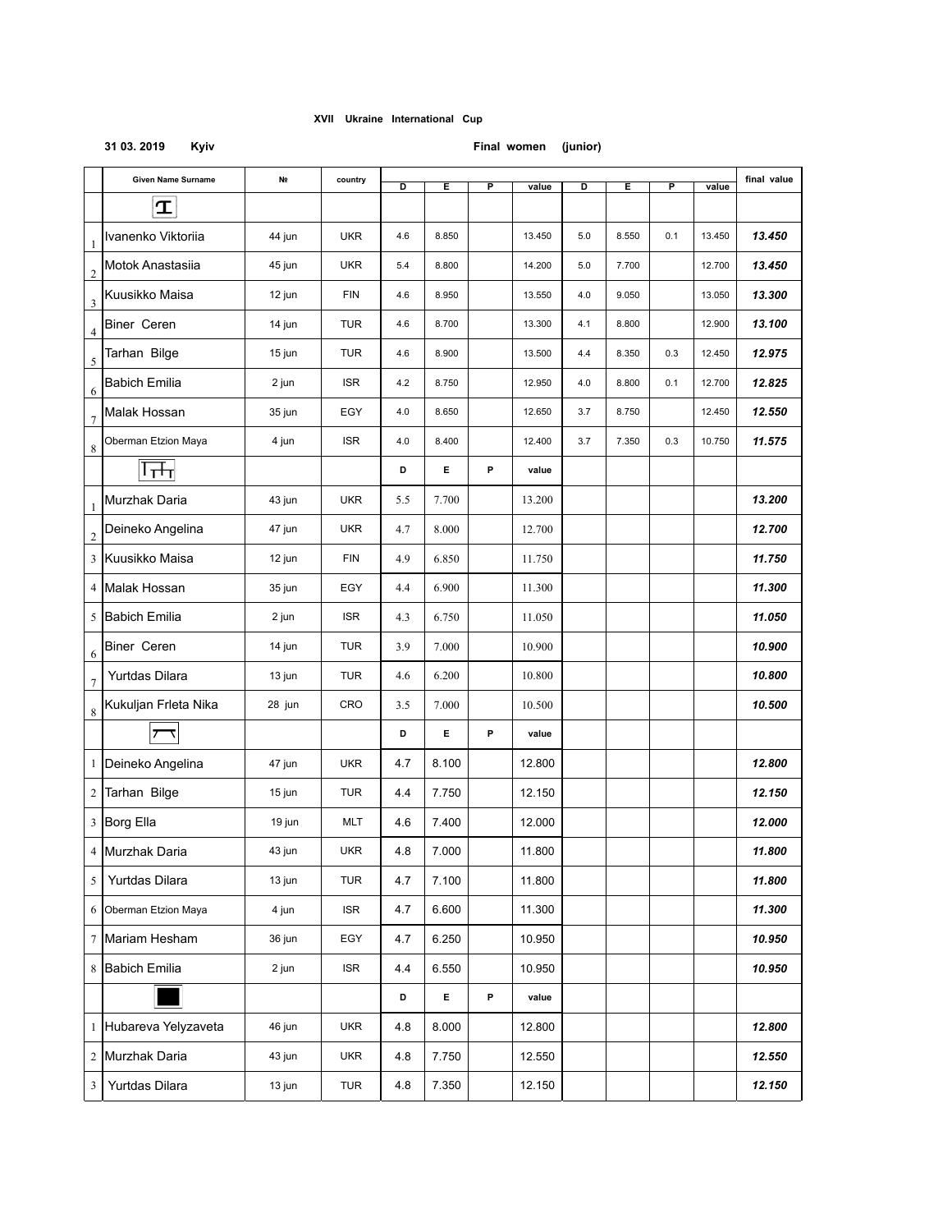### **31 03. 2019 Kyiv Final women (junior)**

|                         | Given Name Surname    | N <sub>2</sub> | country    | D   | Е     | P | value  | D   | Е     | P   | value  | final value |
|-------------------------|-----------------------|----------------|------------|-----|-------|---|--------|-----|-------|-----|--------|-------------|
|                         | $\mathbf T$           |                |            |     |       |   |        |     |       |     |        |             |
| $\mathbf{1}$            | Ivanenko Viktoriia    | 44 jun         | <b>UKR</b> | 4.6 | 8.850 |   | 13.450 | 5.0 | 8.550 | 0.1 | 13.450 | 13.450      |
| $\overline{2}$          | Motok Anastasiia      | 45 jun         | <b>UKR</b> | 5.4 | 8.800 |   | 14.200 | 5.0 | 7.700 |     | 12.700 | 13.450      |
| 3                       | Kuusikko Maisa        | 12 jun         | <b>FIN</b> | 4.6 | 8.950 |   | 13.550 | 4.0 | 9.050 |     | 13.050 | 13.300      |
| 4                       | <b>Biner Ceren</b>    | 14 jun         | <b>TUR</b> | 4.6 | 8.700 |   | 13.300 | 4.1 | 8.800 |     | 12.900 | 13.100      |
| 5                       | Tarhan Bilge          | 15 jun         | <b>TUR</b> | 4.6 | 8.900 |   | 13.500 | 4.4 | 8.350 | 0.3 | 12.450 | 12.975      |
| 6                       | <b>Babich Emilia</b>  | 2 jun          | <b>ISR</b> | 4.2 | 8.750 |   | 12.950 | 4.0 | 8.800 | 0.1 | 12.700 | 12.825      |
| $\boldsymbol{7}$        | Malak Hossan          | 35 jun         | EGY        | 4.0 | 8.650 |   | 12.650 | 3.7 | 8.750 |     | 12.450 | 12.550      |
| 8                       | Oberman Etzion Maya   | 4 jun          | <b>ISR</b> | 4.0 | 8.400 |   | 12.400 | 3.7 | 7.350 | 0.3 | 10.750 | 11.575      |
|                         | ∣क्तन                 |                |            | D   | Е     | P | value  |     |       |     |        |             |
| $\mathbf{1}$            | Murzhak Daria         | 43 jun         | <b>UKR</b> | 5.5 | 7.700 |   | 13.200 |     |       |     |        | 13.200      |
| $\overline{\mathbf{c}}$ | Deineko Angelina      | 47 jun         | <b>UKR</b> | 4.7 | 8.000 |   | 12.700 |     |       |     |        | 12.700      |
|                         | 3 Kuusikko Maisa      | 12 jun         | <b>FIN</b> | 4.9 | 6.850 |   | 11.750 |     |       |     |        | 11.750      |
|                         | 4 Malak Hossan        | 35 jun         | EGY        | 4.4 | 6.900 |   | 11.300 |     |       |     |        | 11.300      |
|                         | 5 Babich Emilia       | 2 jun          | <b>ISR</b> | 4.3 | 6.750 |   | 11.050 |     |       |     |        | 11.050      |
| 6                       | Biner Ceren           | 14 jun         | <b>TUR</b> | 3.9 | 7.000 |   | 10.900 |     |       |     |        | 10.900      |
| $\tau$                  | Yurtdas Dilara        | 13 jun         | <b>TUR</b> | 4.6 | 6.200 |   | 10.800 |     |       |     |        | 10.800      |
| $\,$ 8 $\,$             | Kukuljan Frleta Nika  | 28 jun         | CRO        | 3.5 | 7.000 |   | 10.500 |     |       |     |        | 10.500      |
|                         |                       |                |            | D   | Е     | P | value  |     |       |     |        |             |
|                         | 1 Deineko Angelina    | 47 jun         | <b>UKR</b> | 4.7 | 8.100 |   | 12.800 |     |       |     |        | 12.800      |
| 2                       | Tarhan Bilge          | 15 jun         | <b>TUR</b> | 4.4 | 7.750 |   | 12.150 |     |       |     |        | 12.150      |
|                         | 3 Borg Ella           | 19 jun         | <b>MLT</b> | 4.6 | 7.400 |   | 12.000 |     |       |     |        | 12.000      |
|                         | 4 Murzhak Daria       | 43 jun         | <b>UKR</b> | 4.8 | 7.000 |   | 11.800 |     |       |     |        | 11.800      |
| 5                       | Yurtdas Dilara        | 13 jun         | TUR        | 4.7 | 7.100 |   | 11.800 |     |       |     |        | 11.800      |
|                         | 6 Oberman Etzion Maya | 4 jun          | <b>ISR</b> | 4.7 | 6.600 |   | 11.300 |     |       |     |        | 11.300      |
|                         | 7 Mariam Hesham       | 36 jun         | EGY        | 4.7 | 6.250 |   | 10.950 |     |       |     |        | 10.950      |
|                         | 8 Babich Emilia       | 2 jun          | <b>ISR</b> | 4.4 | 6.550 |   | 10.950 |     |       |     |        | 10.950      |
|                         |                       |                |            | D   | E.    | P | value  |     |       |     |        |             |
|                         | 1 Hubareva Yelyzaveta | 46 jun         | <b>UKR</b> | 4.8 | 8.000 |   | 12.800 |     |       |     |        | 12.800      |
|                         | 2 Murzhak Daria       | 43 jun         | <b>UKR</b> | 4.8 | 7.750 |   | 12.550 |     |       |     |        | 12.550      |
| $\mathbf{3}$            | Yurtdas Dilara        | 13 jun         | TUR        | 4.8 | 7.350 |   | 12.150 |     |       |     |        | 12.150      |